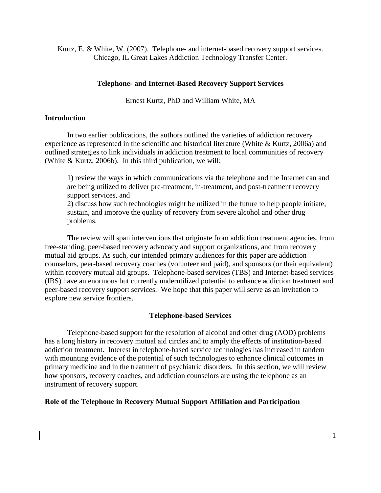Kurtz, E. & White, W. (2007). Telephone- and internet-based recovery support services. Chicago, IL Great Lakes Addiction Technology Transfer Center.

## **Telephone- and Internet-Based Recovery Support Services**

Ernest Kurtz, PhD and William White, MA

## **Introduction**

In two earlier publications, the authors outlined the varieties of addiction recovery experience as represented in the scientific and historical literature (White & Kurtz, 2006a) and outlined strategies to link individuals in addiction treatment to local communities of recovery (White & Kurtz, 2006b). In this third publication, we will:

1) review the ways in which communications via the telephone and the Internet can and are being utilized to deliver pre-treatment, in-treatment, and post-treatment recovery support services, and

2) discuss how such technologies might be utilized in the future to help people initiate, sustain, and improve the quality of recovery from severe alcohol and other drug problems.

The review will span interventions that originate from addiction treatment agencies, from free-standing, peer-based recovery advocacy and support organizations, and from recovery mutual aid groups. As such, our intended primary audiences for this paper are addiction counselors, peer-based recovery coaches (volunteer and paid), and sponsors (or their equivalent) within recovery mutual aid groups. Telephone-based services (TBS) and Internet-based services (IBS) have an enormous but currently underutilized potential to enhance addiction treatment and peer-based recovery support services. We hope that this paper will serve as an invitation to explore new service frontiers.

# **Telephone-based Services**

Telephone-based support for the resolution of alcohol and other drug (AOD) problems has a long history in recovery mutual aid circles and to amply the effects of institution-based addiction treatment. Interest in telephone-based service technologies has increased in tandem with mounting evidence of the potential of such technologies to enhance clinical outcomes in primary medicine and in the treatment of psychiatric disorders. In this section, we will review how sponsors, recovery coaches, and addiction counselors are using the telephone as an instrument of recovery support.

### **Role of the Telephone in Recovery Mutual Support Affiliation and Participation**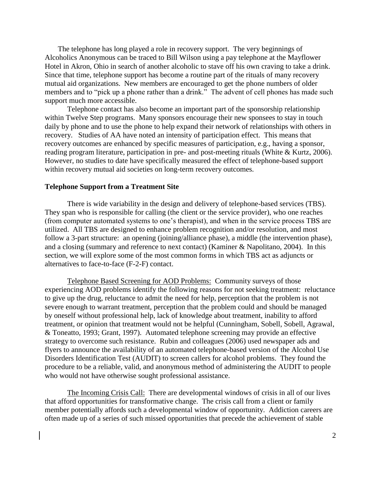The telephone has long played a role in recovery support. The very beginnings of Alcoholics Anonymous can be traced to Bill Wilson using a pay telephone at the Mayflower Hotel in Akron, Ohio in search of another alcoholic to stave off his own craving to take a drink. Since that time, telephone support has become a routine part of the rituals of many recovery mutual aid organizations. New members are encouraged to get the phone numbers of older members and to "pick up a phone rather than a drink." The advent of cell phones has made such support much more accessible.

Telephone contact has also become an important part of the sponsorship relationship within Twelve Step programs. Many sponsors encourage their new sponsees to stay in touch daily by phone and to use the phone to help expand their network of relationships with others in recovery. Studies of AA have noted an intensity of participation effect. This means that recovery outcomes are enhanced by specific measures of participation, e.g., having a sponsor, reading program literature, participation in pre- and post-meeting rituals (White & Kurtz, 2006). However, no studies to date have specifically measured the effect of telephone-based support within recovery mutual aid societies on long-term recovery outcomes.

#### **Telephone Support from a Treatment Site**

There is wide variability in the design and delivery of telephone-based services (TBS). They span who is responsible for calling (the client or the service provider), who one reaches (from computer automated systems to one's therapist), and when in the service process TBS are utilized. All TBS are designed to enhance problem recognition and/or resolution, and most follow a 3-part structure: an opening (joining/alliance phase), a middle (the intervention phase), and a closing (summary and reference to next contact) (Kaminer & Napolitano, 2004). In this section, we will explore some of the most common forms in which TBS act as adjuncts or alternatives to face-to-face (F-2-F) contact.

Telephone Based Screening for AOD Problems: Community surveys of those experiencing AOD problems identify the following reasons for not seeking treatment: reluctance to give up the drug, reluctance to admit the need for help, perception that the problem is not severe enough to warrant treatment, perception that the problem could and should be managed by oneself without professional help, lack of knowledge about treatment, inability to afford treatment, or opinion that treatment would not be helpful (Cunningham, Sobell, Sobell, Agrawal, & Toneatto, 1993; Grant, 1997). Automated telephone screening may provide an effective strategy to overcome such resistance. Rubin and colleagues (2006) used newspaper ads and flyers to announce the availability of an automated telephone-based version of the Alcohol Use Disorders Identification Test (AUDIT) to screen callers for alcohol problems. They found the procedure to be a reliable, valid, and anonymous method of administering the AUDIT to people who would not have otherwise sought professional assistance.

The Incoming Crisis Call: There are developmental windows of crisis in all of our lives that afford opportunities for transformative change. The crisis call from a client or family member potentially affords such a developmental window of opportunity. Addiction careers are often made up of a series of such missed opportunities that precede the achievement of stable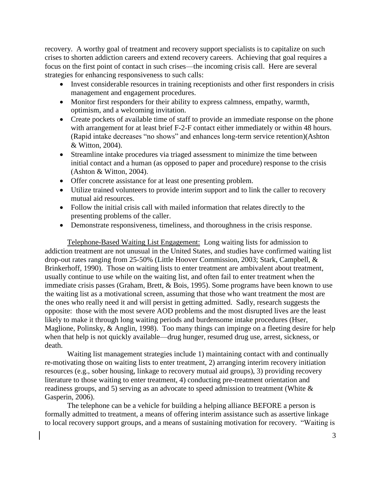recovery. A worthy goal of treatment and recovery support specialists is to capitalize on such crises to shorten addiction careers and extend recovery careers. Achieving that goal requires a focus on the first point of contact in such crises—the incoming crisis call. Here are several strategies for enhancing responsiveness to such calls:

- Invest considerable resources in training receptionists and other first responders in crisis management and engagement procedures.
- Monitor first responders for their ability to express calmness, empathy, warmth, optimism, and a welcoming invitation.
- Create pockets of available time of staff to provide an immediate response on the phone with arrangement for at least brief F-2-F contact either immediately or within 48 hours. (Rapid intake decreases "no shows" and enhances long-term service retention)(Ashton & Witton, 2004).
- Streamline intake procedures via triaged assessment to minimize the time between initial contact and a human (as opposed to paper and procedure) response to the crisis (Ashton & Witton, 2004).
- Offer concrete assistance for at least one presenting problem.
- Utilize trained volunteers to provide interim support and to link the caller to recovery mutual aid resources.
- Follow the initial crisis call with mailed information that relates directly to the presenting problems of the caller.
- Demonstrate responsiveness, timeliness, and thoroughness in the crisis response.

Telephone-Based Waiting List Engagement: Long waiting lists for admission to addiction treatment are not unusual in the United States, and studies have confirmed waiting list drop-out rates ranging from 25-50% (Little Hoover Commission, 2003; Stark, Campbell, & Brinkerhoff, 1990). Those on waiting lists to enter treatment are ambivalent about treatment, usually continue to use while on the waiting list, and often fail to enter treatment when the immediate crisis passes (Graham, Brett, & Bois, 1995). Some programs have been known to use the waiting list as a motivational screen, assuming that those who want treatment the most are the ones who really need it and will persist in getting admitted. Sadly, research suggests the opposite: those with the most severe AOD problems and the most disrupted lives are the least likely to make it through long waiting periods and burdensome intake procedures (Hser, Maglione, Polinsky, & Anglin, 1998). Too many things can impinge on a fleeting desire for help when that help is not quickly available—drug hunger, resumed drug use, arrest, sickness, or death.

Waiting list management strategies include 1) maintaining contact with and continually re-motivating those on waiting lists to enter treatment, 2) arranging interim recovery initiation resources (e.g., sober housing, linkage to recovery mutual aid groups), 3) providing recovery literature to those waiting to enter treatment, 4) conducting pre-treatment orientation and readiness groups, and 5) serving as an advocate to speed admission to treatment (White & Gasperin, 2006).

The telephone can be a vehicle for building a helping alliance BEFORE a person is formally admitted to treatment, a means of offering interim assistance such as assertive linkage to local recovery support groups, and a means of sustaining motivation for recovery. "Waiting is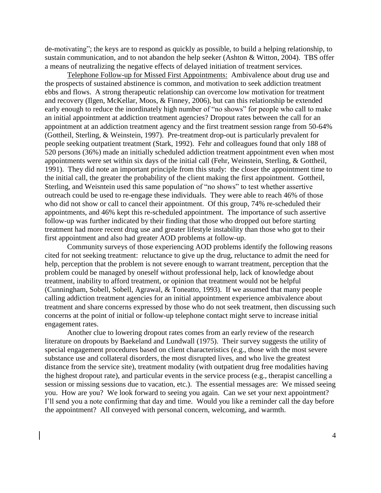de-motivating"; the keys are to respond as quickly as possible, to build a helping relationship, to sustain communication, and to not abandon the help seeker (Ashton & Witton, 2004). TBS offer a means of neutralizing the negative effects of delayed initiation of treatment services.

Telephone Follow-up for Missed First Appointments: Ambivalence about drug use and the prospects of sustained abstinence is common, and motivation to seek addiction treatment ebbs and flows. A strong therapeutic relationship can overcome low motivation for treatment and recovery (Ilgen, McKellar, Moos, & Finney, 2006), but can this relationship be extended early enough to reduce the inordinately high number of "no shows" for people who call to make an initial appointment at addiction treatment agencies? Dropout rates between the call for an appointment at an addiction treatment agency and the first treatment session range from 50-64% (Gottheil, Sterling, & Weinstein, 1997). Pre-treatment drop-out is particularly prevalent for people seeking outpatient treatment (Stark, 1992). Fehr and colleagues found that only 188 of 520 persons (36%) made an initially scheduled addiction treatment appointment even when most appointments were set within six days of the initial call (Fehr, Weinstein, Sterling, & Gottheil, 1991). They did note an important principle from this study: the closer the appointment time to the initial call, the greater the probability of the client making the first appointment. Gottheil, Sterling, and Weisntein used this same population of "no shows" to test whether assertive outreach could be used to re-engage these individuals. They were able to reach 46% of those who did not show or call to cancel their appointment. Of this group, 74% re-scheduled their appointments, and 46% kept this re-scheduled appointment. The importance of such assertive follow-up was further indicated by their finding that those who dropped out before starting treatment had more recent drug use and greater lifestyle instability than those who got to their first appointment and also had greater AOD problems at follow-up.

Community surveys of those experiencing AOD problems identify the following reasons cited for not seeking treatment: reluctance to give up the drug, reluctance to admit the need for help, perception that the problem is not severe enough to warrant treatment, perception that the problem could be managed by oneself without professional help, lack of knowledge about treatment, inability to afford treatment, or opinion that treatment would not be helpful (Cunningham, Sobell, Sobell, Agrawal, & Toneatto, 1993). If we assumed that many people calling addiction treatment agencies for an initial appointment experience ambivalence about treatment and share concerns expressed by those who do not seek treatment, then discussing such concerns at the point of initial or follow-up telephone contact might serve to increase initial engagement rates.

Another clue to lowering dropout rates comes from an early review of the research literature on dropouts by Baekeland and Lundwall (1975). Their survey suggests the utility of special engagement procedures based on client characteristics (e.g., those with the most severe substance use and collateral disorders, the most disrupted lives, and who live the greatest distance from the service site), treatment modality (with outpatient drug free modalities having the highest dropout rate), and particular events in the service process (e.g., therapist cancelling a session or missing sessions due to vacation, etc.). The essential messages are: We missed seeing you. How are you? We look forward to seeing you again. Can we set your next appointment? I'll send you a note confirming that day and time. Would you like a reminder call the day before the appointment? All conveyed with personal concern, welcoming, and warmth.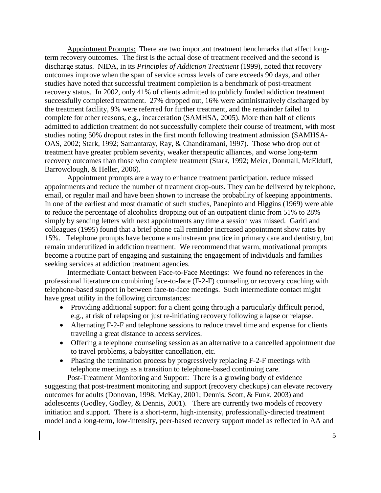Appointment Prompts: There are two important treatment benchmarks that affect longterm recovery outcomes. The first is the actual dose of treatment received and the second is discharge status. NIDA, in its *Principles of Addiction Treatment* (1999), noted that recovery outcomes improve when the span of service across levels of care exceeds 90 days, and other studies have noted that successful treatment completion is a benchmark of post-treatment recovery status. In 2002, only 41% of clients admitted to publicly funded addiction treatment successfully completed treatment. 27% dropped out, 16% were administratively discharged by the treatment facility, 9% were referred for further treatment, and the remainder failed to complete for other reasons, e.g., incarceration (SAMHSA, 2005). More than half of clients admitted to addiction treatment do not successfully complete their course of treatment, with most studies noting 50% dropout rates in the first month following treatment admission (SAMHSA-OAS, 2002; Stark, 1992; Samantaray, Ray, & Chandiramani, 1997). Those who drop out of treatment have greater problem severity, weaker therapeutic alliances, and worse long-term recovery outcomes than those who complete treatment (Stark, 1992; Meier, Donmall, McElduff, Barrowclough, & Heller, 2006).

Appointment prompts are a way to enhance treatment participation, reduce missed appointments and reduce the number of treatment drop-outs. They can be delivered by telephone, email, or regular mail and have been shown to increase the probability of keeping appointments. In one of the earliest and most dramatic of such studies, Panepinto and Higgins (1969) were able to reduce the percentage of alcoholics dropping out of an outpatient clinic from 51% to 28% simply by sending letters with next appointments any time a session was missed. Gariti and colleagues (1995) found that a brief phone call reminder increased appointment show rates by 15%. Telephone prompts have become a mainstream practice in primary care and dentistry, but remain underutilized in addiction treatment. We recommend that warm, motivational prompts become a routine part of engaging and sustaining the engagement of individuals and families seeking services at addiction treatment agencies.

Intermediate Contact between Face-to-Face Meetings: We found no references in the professional literature on combining face-to-face (F-2-F) counseling or recovery coaching with telephone-based support in between face-to-face meetings. Such intermediate contact might have great utility in the following circumstances:

- Providing additional support for a client going through a particularly difficult period, e.g., at risk of relapsing or just re-initiating recovery following a lapse or relapse.
- Alternating F-2-F and telephone sessions to reduce travel time and expense for clients traveling a great distance to access services.
- Offering a telephone counseling session as an alternative to a cancelled appointment due to travel problems, a babysitter cancellation, etc.
- Phasing the termination process by progressively replacing F-2-F meetings with telephone meetings as a transition to telephone-based continuing care.

Post-Treatment Monitoring and Support: There is a growing body of evidence suggesting that post-treatment monitoring and support (recovery checkups) can elevate recovery outcomes for adults (Donovan, 1998; McKay, 2001; Dennis, Scott, & Funk, 2003) and adolescents (Godley, Godley, & Dennis, 2001). There are currently two models of recovery initiation and support. There is a short-term, high-intensity, professionally-directed treatment model and a long-term, low-intensity, peer-based recovery support model as reflected in AA and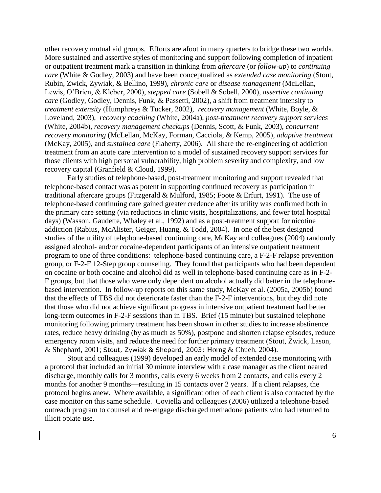other recovery mutual aid groups. Efforts are afoot in many quarters to bridge these two worlds. More sustained and assertive styles of monitoring and support following completion of inpatient or outpatient treatment mark a transition in thinking from *aftercare* (or *follow-up*) to *continuing care* (White & Godley, 2003) and have been conceptualized as *extended case monitoring* (Stout, Rubin, Zwick, Zywiak, & Bellino, 1999), *chronic care* or *disease management* (McLellan, Lewis, O'Brien, & Kleber, 2000), *stepped care* (Sobell & Sobell, 2000), *assertive continuing care* (Godley, Godley, Dennis, Funk, & Passetti, 2002), a shift from treatment intensity to *treatment extensity* (Humphreys & Tucker, 2002), *recovery management* (White, Boyle, & Loveland, 2003), *recovery coaching* (White, 2004a), *post-treatment recovery support services* (White, 2004b), *recovery management checkups* (Dennis, Scott, & Funk, 2003), *concurrent recovery monitoring* (McLellan, McKay, Forman, Cacciola, & Kemp, 2005), *adaptive treatment* (McKay, 2005), and *sustained care* (Flaherty, 2006). All share the re-engineering of addiction treatment from an acute care intervention to a model of sustained recovery support services for those clients with high personal vulnerability, high problem severity and complexity, and low recovery capital (Granfield & Cloud, 1999).

Early studies of telephone-based, post-treatment monitoring and support revealed that telephone-based contact was as potent in supporting continued recovery as participation in traditional aftercare groups (Fitzgerald & Mulford, 1985; Foote & Erfurt, 1991). The use of telephone-based continuing care gained greater credence after its utility was confirmed both in the primary care setting (via reductions in clinic visits, hospitalizations, and fewer total hospital days) (Wasson, Gaudette, Whaley et al., 1992) and as a post-treatment support for nicotine addiction (Rabius, McAlister, Geiger, Huang, & Todd, 2004). In one of the best designed studies of the utility of telephone-based continuing care, McKay and colleagues (2004) randomly assigned alcohol- and/or cocaine-dependent participants of an intensive outpatient treatment program to one of three conditions: telephone-based continuing care, a F-2-F relapse prevention group, or F-2-F 12-Step group counseling. They found that participants who had been dependent on cocaine or both cocaine and alcohol did as well in telephone-based continuing care as in F-2- F groups, but that those who were only dependent on alcohol actually did better in the telephonebased intervention. In follow-up reports on this same study, McKay et al. (2005a, 2005b) found that the effects of TBS did not deteriorate faster than the F-2-F interventions, but they did note that those who did not achieve significant progress in intensive outpatient treatment had better long-term outcomes in F-2-F sessions than in TBS. Brief (15 minute) but sustained telephone monitoring following primary treatment has been shown in other studies to increase abstinence rates, reduce heavy drinking (by as much as 50%), postpone and shorten relapse episodes, reduce emergency room visits, and reduce the need for further primary treatment (Stout, Zwick, Lason, & Shephard, 2001; Stout, Zywiak & Shepard, 2003; Horng & Chueh, 2004).

Stout and colleagues (1999) developed an early model of extended case monitoring with a protocol that included an initial 30 minute interview with a case manager as the client neared discharge, monthly calls for 3 months, calls every 6 weeks from 2 contacts, and calls every 2 months for another 9 months—resulting in 15 contacts over 2 years. If a client relapses, the protocol begins anew. Where available, a significant other of each client is also contacted by the case monitor on this same schedule. Coviella and colleagues (2006) utilized a telephone-based outreach program to counsel and re-engage discharged methadone patients who had returned to illicit opiate use.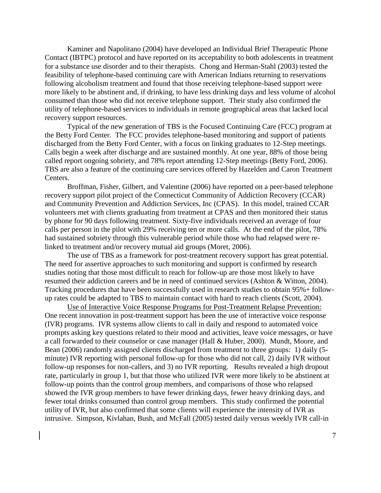Kaminer and Napolitano (2004) have developed an Individual Brief Therapeutic Phone Contact (IBTPC) protocol and have reported on its acceptability to both adolescents in treatment for a substance use disorder and to their therapists. Chong and Herman-Stahl (2003) tested the feasibility of telephone-based continuing care with American Indians returning to reservations following alcoholism treatment and found that those receiving telephone-based support were more likely to be abstinent and, if drinking, to have less drinking days and less volume of alcohol consumed than those who did not receive telephone support. Their study also confirmed the utility of telephone-based services to individuals in remote geographical areas that lacked local recovery support resources.

Typical of the new generation of TBS is the Focused Continuing Care (FCC) program at the Betty Ford Center. The FCC provides telephone-based monitoring and support of patients discharged from the Betty Ford Center, with a focus on linking graduates to 12-Step meetings. Calls begin a week after discharge and are sustained monthly. At one year, 88% of those being called report ongoing sobriety, and 78% report attending 12-Step meetings (Betty Ford, 2006). TBS are also a feature of the continuing care services offered by Hazelden and Caron Treatment Centers.

Broffman, Fisher, Gilbert, and Valentine (2006) have reported on a peer-based telephone recovery support pilot project of the Connecticut Community of Addiction Recovery (CCAR) and Community Prevention and Addiction Services, Inc (CPAS). In this model, trained CCAR volunteers met with clients graduating from treatment at CPAS and then monitored their status by phone for 90 days following treatment. Sixty-five individuals received an average of four calls per person in the pilot with 29% receiving ten or more calls. At the end of the pilot, 78% had sustained sobriety through this vulnerable period while those who had relapsed were relinked to treatment and/or recovery mutual aid groups (Moret, 2006).

The use of TBS as a framework for post-treatment recovery support has great potential. The need for assertive approaches to such monitoring and support is confirmed by research studies noting that those most difficult to reach for follow-up are those most likely to have resumed their addiction careers and be in need of continued services (Ashton & Witton, 2004). Tracking procedures that have been successfully used in research studies to obtain 95%+ followup rates could be adapted to TBS to maintain contact with hard to reach clients (Scott, 2004).

Use of Interactive Voice Response Programs for Post-Treatment Relapse Prevention: One recent innovation in post-treatment support has been the use of interactive voice response (IVR) programs. IVR systems allow clients to call in daily and respond to automated voice prompts asking key questions related to their mood and activities, leave voice messages, or have a call forwarded to their counselor or case manager (Hall & Huber, 2000). Mundt, Moore, and Bean (2006) randomly assigned clients discharged from treatment to three groups: 1) daily (5 minute) IVR reporting with personal follow-up for those who did not call, 2) daily IVR without follow-up responses for non-callers, and 3) no IVR reporting. Results revealed a high dropout rate, particularly in group 1, but that those who utilized IVR were more likely to be abstinent at follow-up points than the control group members, and comparisons of those who relapsed showed the IVR group members to have fewer drinking days, fewer heavy drinking days, and fewer total drinks consumed than control group members. This study confirmed the potential utility of IVR, but also confirmed that some clients will experience the intensity of IVR as intrusive. Simpson, Kivlahan, Bush, and McFall (2005) tested daily versus weekly IVR call-in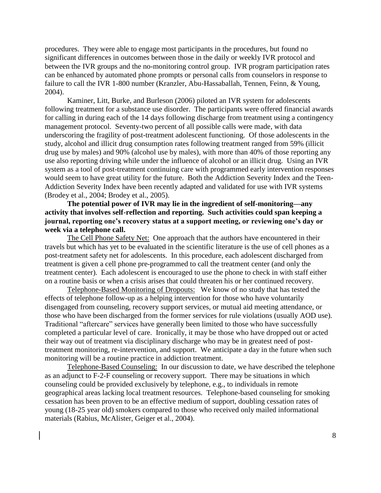procedures. They were able to engage most participants in the procedures, but found no significant differences in outcomes between those in the daily or weekly IVR protocol and between the IVR groups and the no-monitoring control group. IVR program participation rates can be enhanced by automated phone prompts or personal calls from counselors in response to failure to call the IVR 1-800 number (Kranzler, Abu-Hassaballah, Tennen, Feinn, & Young, 2004).

Kaminer, Litt, Burke, and Burleson (2006) piloted an IVR system for adolescents following treatment for a substance use disorder. The participants were offered financial awards for calling in during each of the 14 days following discharge from treatment using a contingency management protocol. Seventy-two percent of all possible calls were made, with data underscoring the fragility of post-treatment adolescent functioning. Of those adolescents in the study, alcohol and illicit drug consumption rates following treatment ranged from 59% (illicit drug use by males) and 90% (alcohol use by males), with more than 40% of those reporting any use also reporting driving while under the influence of alcohol or an illicit drug. Using an IVR system as a tool of post-treatment continuing care with programmed early intervention responses would seem to have great utility for the future. Both the Addiction Severity Index and the Teen-Addiction Severity Index have been recently adapted and validated for use with IVR systems (Brodey et al., 2004; Brodey et al., 2005).

**The potential power of IVR may lie in the ingredient of self-monitoring—any activity that involves self-reflection and reporting. Such activities could span keeping a journal, reporting one's recovery status at a support meeting, or reviewing one's day or week via a telephone call.** 

The Cell Phone Safety Net: One approach that the authors have encountered in their travels but which has yet to be evaluated in the scientific literature is the use of cell phones as a post-treatment safety net for adolescents. In this procedure, each adolescent discharged from treatment is given a cell phone pre-programmed to call the treatment center (and only the treatment center). Each adolescent is encouraged to use the phone to check in with staff either on a routine basis or when a crisis arises that could threaten his or her continued recovery.

Telephone-Based Monitoring of Dropouts: We know of no study that has tested the effects of telephone follow-up as a helping intervention for those who have voluntarily disengaged from counseling, recovery support services, or mutual aid meeting attendance, or those who have been discharged from the former services for rule violations (usually AOD use). Traditional "aftercare" services have generally been limited to those who have successfully completed a particular level of care. Ironically, it may be those who have dropped out or acted their way out of treatment via disciplinary discharge who may be in greatest need of posttreatment monitoring, re-intervention, and support. We anticipate a day in the future when such monitoring will be a routine practice in addiction treatment.

Telephone-Based Counseling: In our discussion to date, we have described the telephone as an adjunct to F-2-F counseling or recovery support. There may be situations in which counseling could be provided exclusively by telephone, e.g., to individuals in remote geographical areas lacking local treatment resources. Telephone-based counseling for smoking cessation has been proven to be an effective medium of support, doubling cessation rates of young (18-25 year old) smokers compared to those who received only mailed informational materials (Rabius, McAlister, Geiger et al., 2004).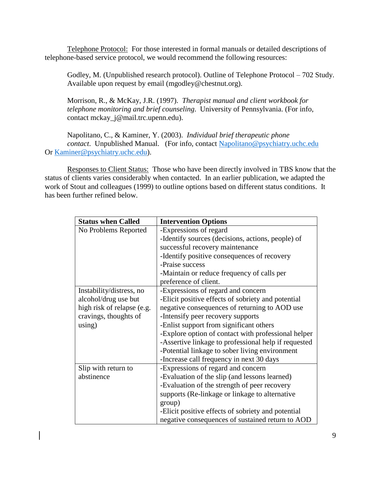Telephone Protocol: For those interested in formal manuals or detailed descriptions of telephone-based service protocol, we would recommend the following resources:

Godley, M. (Unpublished research protocol). Outline of Telephone Protocol – 702 Study. Available upon request by email (mgodley@chestnut.org).

Morrison, R., & McKay, J.R. (1997). *Therapist manual and client workbook for telephone monitoring and brief counseling*. University of Pennsylvania. (For info, contact mckay\_j@mail.trc.upenn.edu).

Napolitano, C., & Kaminer, Y. (2003). *Individual brief therapeutic phone contact*. Unpublished Manual. (For info, contact [Napolitano@psychiatry.uchc.edu](mailto:Napolitano@psychiatry.uchc.edu) Or [Kaminer@psychiatry.uchc.edu\)](mailto:Kaminer@psychiatry.uchc.edu).

Responses to Client Status: Those who have been directly involved in TBS know that the status of clients varies considerably when contacted. In an earlier publication, we adapted the work of Stout and colleagues (1999) to outline options based on different status conditions. It has been further refined below.

| <b>Status when Called</b>  | <b>Intervention Options</b>                          |
|----------------------------|------------------------------------------------------|
| No Problems Reported       | -Expressions of regard                               |
|                            | -Identify sources (decisions, actions, people) of    |
|                            | successful recovery maintenance                      |
|                            | -Identify positive consequences of recovery          |
|                            | -Praise success                                      |
|                            | -Maintain or reduce frequency of calls per           |
|                            | preference of client.                                |
| Instability/distress, no   | -Expressions of regard and concern                   |
| alcohol/drug use but       | -Elicit positive effects of sobriety and potential   |
| high risk of relapse (e.g. | negative consequences of returning to AOD use        |
| cravings, thoughts of      | -Intensify peer recovery supports                    |
| using)                     | -Enlist support from significant others              |
|                            | -Explore option of contact with professional helper  |
|                            | -Assertive linkage to professional help if requested |
|                            | -Potential linkage to sober living environment       |
|                            | -Increase call frequency in next 30 days             |
| Slip with return to        | -Expressions of regard and concern                   |
| abstinence                 | -Evaluation of the slip (and lessons learned)        |
|                            | -Evaluation of the strength of peer recovery         |
|                            | supports (Re-linkage or linkage to alternative       |
|                            | group)                                               |
|                            | -Elicit positive effects of sobriety and potential   |
|                            | negative consequences of sustained return to AOD     |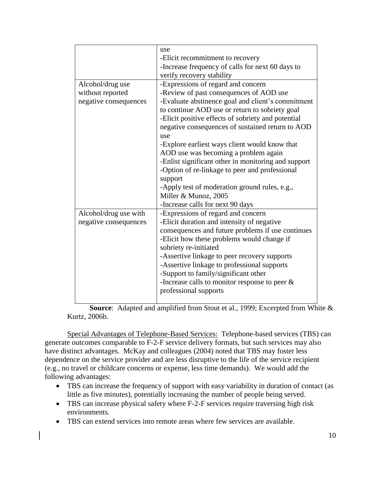|                       | use                                                 |
|-----------------------|-----------------------------------------------------|
|                       | -Elicit recommitment to recovery                    |
|                       | -Increase frequency of calls for next 60 days to    |
|                       | verify recovery stability                           |
| Alcohol/drug use      | -Expressions of regard and concern                  |
| without reported      | -Review of past consequences of AOD use             |
| negative consequences | -Evaluate abstinence goal and client's commitment   |
|                       | to continue AOD use or return to sobriety goal      |
|                       | -Elicit positive effects of sobriety and potential  |
|                       | negative consequences of sustained return to AOD    |
|                       | use                                                 |
|                       | -Explore earliest ways client would know that       |
|                       | AOD use was becoming a problem again                |
|                       | -Enlist significant other in monitoring and support |
|                       | -Option of re-linkage to peer and professional      |
|                       | support                                             |
|                       | -Apply test of moderation ground rules, e.g.,       |
|                       | Miller & Munoz, 2005                                |
|                       | -Increase calls for next 90 days                    |
| Alcohol/drug use with | -Expressions of regard and concern                  |
| negative consequences | -Elicit duration and intensity of negative          |
|                       | consequences and future problems if use continues   |
|                       | -Elicit how these problems would change if          |
|                       | sobriety re-initiated                               |
|                       | -Assertive linkage to peer recovery supports        |
|                       | -Assertive linkage to professional supports         |
|                       | -Support to family/significant other                |
|                       | -Increase calls to monitor response to peer $\&$    |
|                       | professional supports                               |
|                       |                                                     |

**Source**: Adapted and amplified from Stout et al., 1999; Excerpted from White & Kurtz, 2006b.

Special Advantages of Telephone-Based Services: Telephone-based services (TBS) can generate outcomes comparable to F-2-F service delivery formats, but such services may also have distinct advantages. McKay and colleagues (2004) noted that TBS may foster less dependence on the service provider and are less disruptive to the life of the service recipient (e.g., no travel or childcare concerns or expense, less time demands). We would add the following advantages:

- TBS can increase the frequency of support with easy variability in duration of contact (as little as five minutes), potentially increasing the number of people being served.
- TBS can increase physical safety where F-2-F services require traversing high risk environments.
- TBS can extend services into remote areas where few services are available.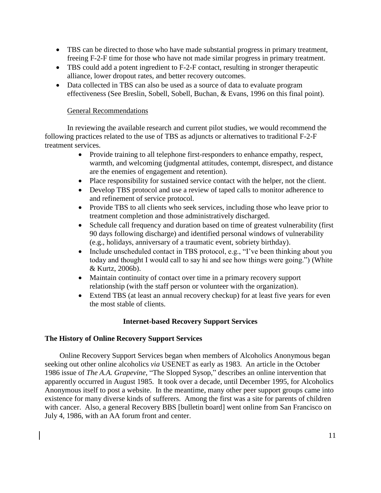- TBS can be directed to those who have made substantial progress in primary treatment, freeing F-2-F time for those who have not made similar progress in primary treatment.
- TBS could add a potent ingredient to F-2-F contact, resulting in stronger therapeutic alliance, lower dropout rates, and better recovery outcomes.
- Data collected in TBS can also be used as a source of data to evaluate program effectiveness (See Breslin, Sobell, Sobell, Buchan, & Evans, 1996 on this final point).

# General Recommendations

In reviewing the available research and current pilot studies, we would recommend the following practices related to the use of TBS as adjuncts or alternatives to traditional F-2-F treatment services.

- Provide training to all telephone first-responders to enhance empathy, respect, warmth, and welcoming (judgmental attitudes, contempt, disrespect, and distance are the enemies of engagement and retention).
- Place responsibility for sustained service contact with the helper, not the client.
- Develop TBS protocol and use a review of taped calls to monitor adherence to and refinement of service protocol.
- Provide TBS to all clients who seek services, including those who leave prior to treatment completion and those administratively discharged.
- Schedule call frequency and duration based on time of greatest vulnerability (first 90 days following discharge) and identified personal windows of vulnerability (e.g., holidays, anniversary of a traumatic event, sobriety birthday).
- Include unscheduled contact in TBS protocol, e.g., "I've been thinking about you today and thought I would call to say hi and see how things were going.") (White & Kurtz, 2006b).
- Maintain continuity of contact over time in a primary recovery support relationship (with the staff person or volunteer with the organization).
- Extend TBS (at least an annual recovery checkup) for at least five years for even the most stable of clients.

# **Internet-based Recovery Support Services**

# **The History of Online Recovery Support Services**

Online Recovery Support Services began when members of Alcoholics Anonymous began seeking out other online alcoholics *via* USENET as early as 1983. An article in the October 1986 issue of *The A.A. Grapevine,* "The Slopped Sysop," describes an online intervention that apparently occurred in August 1985. It took over a decade, until December 1995, for Alcoholics Anonymous itself to post a website. In the meantime, many other peer support groups came into existence for many diverse kinds of sufferers. Among the first was a site for parents of children with cancer. Also, a general Recovery BBS [bulletin board] went online from San Francisco on July 4, 1986, with an AA forum front and center.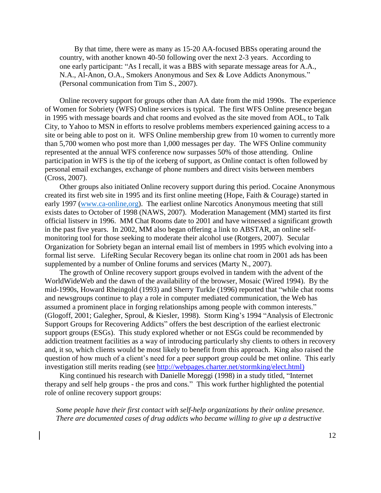By that time, there were as many as 15-20 AA-focused BBSs operating around the country, with another known 40-50 following over the next 2-3 years. According to one early participant: "As I recall, it was a BBS with separate message areas for A.A., N.A., Al-Anon, O.A., Smokers Anonymous and Sex & Love Addicts Anonymous." (Personal communication from Tim S., 2007).

Online recovery support for groups other than AA date from the mid 1990s. The experience of Women for Sobriety (WFS) Online services is typical. The first WFS Online presence began in 1995 with message boards and chat rooms and evolved as the site moved from AOL, to Talk City, to Yahoo to MSN in efforts to resolve problems members experienced gaining access to a site or being able to post on it. WFS Online membership grew from 10 women to currently more than 5,700 women who post more than 1,000 messages per day. The WFS Online community represented at the annual WFS conference now surpasses 50% of those attending. Online participation in WFS is the tip of the iceberg of support, as Online contact is often followed by personal email exchanges, exchange of phone numbers and direct visits between members (Cross, 2007).

Other groups also initiated Online recovery support during this period. Cocaine Anonymous created its first web site in 1995 and its first online meeting (Hope, Faith & Courage) started in early 1997 [\(www.ca-online,org\)](http://www.ca-online,org/). The earliest online Narcotics Anonymous meeting that still exists dates to October of 1998 (NAWS, 2007). Moderation Management (MM) started its first official listserv in 1996. MM Chat Rooms date to 2001 and have witnessed a significant growth in the past five years. In 2002, MM also began offering a link to ABSTAR, an online selfmonitoring tool for those seeking to moderate their alcohol use (Rotgers, 2007). Secular Organization for Sobriety began an internal email list of members in 1995 which evolving into a formal list serve. LifeRing Secular Recovery began its online chat room in 2001 ads has been supplemented by a number of Online forums and services (Marty N., 2007).

The growth of Online recovery support groups evolved in tandem with the advent of the WorldWideWeb and the dawn of the availability of the browser, Mosaic (Wired 1994). By the mid-1990s, Howard Rheingold (1993) and Sherry Turkle (1996) reported that "while chat rooms and newsgroups continue to play a role in computer mediated communication, the Web has assumed a prominent place in forging relationships among people with common interests." (Glogoff, 2001; Galegher, Sproul, & Kiesler, 1998). Storm King's 1994 "Analysis of Electronic Support Groups for Recovering Addicts" offers the best description of the earliest electronic support groups (ESGs). This study explored whether or not ESGs could be recommended by addiction treatment facilities as a way of introducing particularly shy clients to others in recovery and, it so, which clients would be most likely to benefit from this approach. King also raised the question of how much of a client's need for a peer support group could be met online. This early investigation still merits reading (see http://webpages.charter.net/stormking/elect.html)

King continued his research with Danielle Moreggi (1998) in a study titled, "Internet therapy and self help groups - the pros and cons." This work further highlighted the potential role of online recovery support groups:

*Some people have their first contact with self-help organizations by their online presence. There are documented cases of drug addicts who became willing to give up a destructive*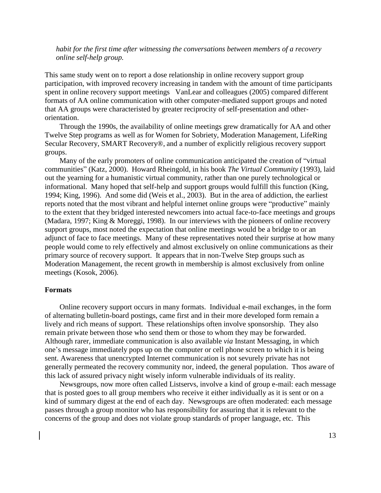# *habit for the first time after witnessing the conversations between members of a recovery online self-help group.*

This same study went on to report a dose relationship in online recovery support group participation, with improved recovery increasing in tandem with the amount of time participants spent in online recovery support meetings VanLear and colleagues (2005) compared different formats of AA online communication with other computer-mediated support groups and noted that AA groups were characteristed by greater reciprocity of self-presentation and otherorientation.

Through the 1990s, the availability of online meetings grew dramatically for AA and other Twelve Step programs as well as for Women for Sobriety, Moderation Management, LifeRing Secular Recovery, SMART Recovery®, and a number of explicitly religious recovery support groups.

Many of the early promoters of online communication anticipated the creation of "virtual communities" (Katz, 2000). Howard Rheingold, in his book *The Virtual Community* (1993), laid out the yearning for a humanistic virtual community, rather than one purely technological or informational. Many hoped that self-help and support groups would fulfill this function (King, 1994; King, 1996). And some did (Weis et al., 2003). But in the area of addiction, the earliest reports noted that the most vibrant and helpful internet online groups were "productive" mainly to the extent that they bridged interested newcomers into actual face-to-face meetings and groups (Madara, 1997; King & Moreggi, 1998). In our interviews with the pioneers of online recovery support groups, most noted the expectation that online meetings would be a bridge to or an adjunct of face to face meetings. Many of these representatives noted their surprise at how many people would come to rely effectively and almost exclusively on online communications as their primary source of recovery support. It appears that in non-Twelve Step groups such as Moderation Management, the recent growth in membership is almost exclusively from online meetings (Kosok, 2006).

#### **Formats**

Online recovery support occurs in many formats. Individual e-mail exchanges, in the form of alternating bulletin-board postings, came first and in their more developed form remain a lively and rich means of support. These relationships often involve sponsorship. They also remain private between those who send them or those to whom they may be forwarded. Although rarer, immediate communication is also available *via* Instant Messaging, in which one's message immediately pops up on the computer or cell phone screen to which it is being sent. Awareness that unencrypted Internet communication is not sevurely private has not generally permeated the recovery community nor, indeed, the general population. Thos aware of this lack of assured privacy night wisely inform vulnerable individuals of its reality.

Newsgroups, now more often called Listservs, involve a kind of group e-mail: each message that is posted goes to all group members who receive it either individually as it is sent or on a kind of summary digest at the end of each day. Newsgroups are often moderated: each message passes through a group monitor who has responsibility for assuring that it is relevant to the concerns of the group and does not violate group standards of proper language, etc. This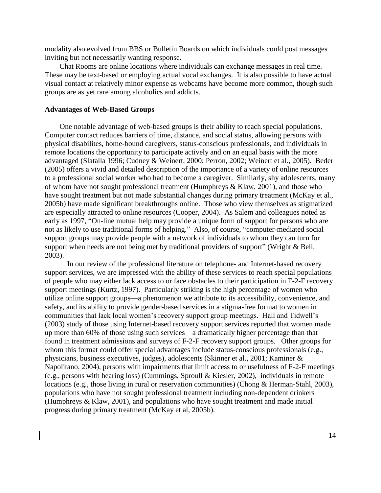modality also evolved from BBS or Bulletin Boards on which individuals could post messages inviting but not necessarily wanting response.

Chat Rooms are online locations where individuals can exchange messages in real time. These may be text-based or employing actual vocal exchanges. It is also possible to have actual visual contact at relatively minor expense as webcams have become more common, though such groups are as yet rare among alcoholics and addicts.

### **Advantages of Web-Based Groups**

One notable advantage of web-based groups is their ability to reach special populations. Computer contact reduces barriers of time, distance, and social status, allowing persons with physical disabilites, home-bound caregivers, status-conscious professionals, and individuals in remote locations the opportunity to participate actively and on an equal basis with the more advantaged (Slatalla 1996; Cudney & Weinert, 2000; Perron, 2002; Weinert et al., 2005). Beder (2005) offers a vivid and detailed description of the importance of a variety of online resources to a professional social worker who had to become a caregiver. Similarly, shy adolescents, many of whom have not sought professional treatment (Humphreys & Klaw, 2001), and those who have sought treatment but not made substantial changes during primary treatment (McKay et al., 2005b) have made significant breakthroughs online. Those who view themselves as stigmatized are especially attracted to online resources (Cooper, 2004). As Salem and colleagues noted as early as 1997, "On-line mutual help may provide a unique form of support for persons who are not as likely to use traditional forms of helping." Also, of course, "computer-mediated social support groups may provide people with a network of individuals to whom they can turn for support when needs are not being met by traditional providers of support" (Wright & Bell, 2003).

In our review of the professional literature on telephone- and Internet-based recovery support services, we are impressed with the ability of these services to reach special populations of people who may either lack access to or face obstacles to their participation in F-2-F recovery support meetings (Kurtz, 1997). Particularly striking is the high percentage of women who utilize online support groups—a phenomenon we attribute to its accessibility, convenience, and safety, and its ability to provide gender-based services in a stigma-free format to women in communities that lack local women's recovery support group meetings. Hall and Tidwell's (2003) study of those using Internet-based recovery support services reported that women made up more than 60% of those using such services—a dramatically higher percentage than that found in treatment admissions and surveys of F-2-F recovery support groups. Other groups for whom this format could offer special advantages include status-conscious professionals (e.g., physicians, business executives, judges), adolescents (Skinner et al., 2001; Kaminer & Napolitano, 2004), persons with impairments that limit access to or usefulness of F-2-F meetings (e.g., persons with hearing loss) (Cummings, Sproull & Kiesler, 2002), individuals in remote locations (e.g., those living in rural or reservation communities) (Chong & Herman-Stahl, 2003), populations who have not sought professional treatment including non-dependent drinkers (Humphreys & Klaw, 2001), and populations who have sought treatment and made initial progress during primary treatment (McKay et al, 2005b).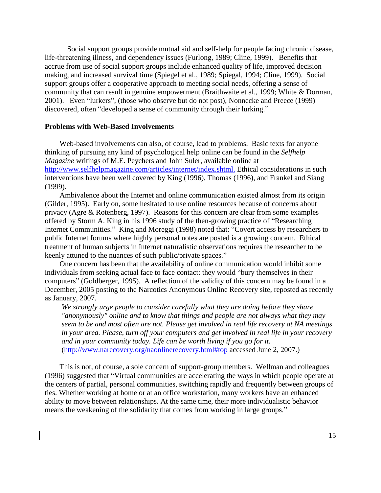Social support groups provide mutual aid and self-help for people facing chronic disease, life-threatening illness, and dependency issues (Furlong, 1989; Cline, 1999). Benefits that accrue from use of social support groups include enhanced quality of life, improved decision making, and increased survival time (Spiegel et al., 1989; Spiegal, 1994; Cline, 1999). Social support groups offer a cooperative approach to meeting social needs, offering a sense of community that can result in genuine empowerment (Braithwaite et al., 1999; White & Dorman, 2001). Even "lurkers", (those who observe but do not post), Nonnecke and Preece (1999) discovered, often "developed a sense of community through their lurking."

### **Problems with Web-Based Involvements**

Web-based involvements can also, of course, lead to problems. Basic texts for anyone thinking of pursuing any kind of psychological help online can be found in the *Selfhelp Magazine* writings of M.E. Peychers and John Suler, available online at http://www.selfhelpmagazine.com/articles/internet/index.shtml. Ethical considerations in such interventions have been well covered by King (1996), Thomas (1996), and Frankel and Siang (1999).

Ambivalence about the Internet and online communication existed almost from its origin (Gilder, 1995). Early on, some hesitated to use online resources because of concerns about privacy (Agre & Rotenberg, 1997). Reasons for this concern are clear from some examples offered by Storm A. King in his 1996 study of the then-growing practice of "Researching Internet Communities." King and Moreggi (1998) noted that: "Covert access by researchers to public Internet forums where highly personal notes are posted is a growing concern. Ethical treatment of human subjects in Internet naturalistic observations requires the researcher to be keenly attuned to the nuances of such public/private spaces."

One concern has been that the availability of online communication would inhibit some individuals from seeking actual face to face contact: they would "bury themselves in their computers" (Goldberger, 1995). A reflection of the validity of this concern may be found in a December, 2005 posting to the Narcotics Anonymous Online Recovery site, reposted as recently as January, 2007.

*We strongly urge people to consider carefully what they are doing before they share "anonymously" online and to know that things and people are not always what they may seem to be and most often are not. Please get involved in real life recovery at NA meetings in your area. Please, turn off your computers and get involved in real life in your recovery and in your community today. Life can be worth living if you go for it.* (http://www.narecovery.org/naonlinerecovery.html#top accessed June 2, 2007.)

This is not, of course, a sole concern of support-group members. Wellman and colleagues (1996) suggested that "Virtual communities are accelerating the ways in which people operate at the centers of partial, personal communities, switching rapidly and frequently between groups of ties. Whether working at home or at an office workstation, many workers have an enhanced ability to move between relationships. At the same time, their more individualistic behavior means the weakening of the solidarity that comes from working in large groups."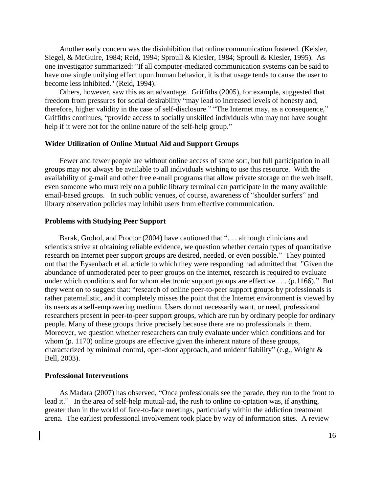Another early concern was the disinhibition that online communication fostered. (Keisler, Siegel, & McGuire, 1984; Reid, 1994; Sproull & Kiesler, 1984; Sproull & Kiesler, 1995). As one investigator summarized: "If all computer-mediated communication systems can be said to have one single unifying effect upon human behavior, it is that usage tends to cause the user to become less inhibited." (Reid, 1994).

Others, however, saw this as an advantage. Griffiths (2005), for example, suggested that freedom from pressures for social desirability "may lead to increased levels of honesty and, therefore, higher validity in the case of self-disclosure." "The Internet may, as a consequence," Griffiths continues, "provide access to socially unskilled individuals who may not have sought help if it were not for the online nature of the self-help group."

## **Wider Utilization of Online Mutual Aid and Support Groups**

Fewer and fewer people are without online access of some sort, but full participation in all groups may not always be available to all individuals wishing to use this resource. With the availability of g-mail and other free e-mail programs that allow private storage on the web itself, even someone who must rely on a public library terminal can participate in the many available email-based groups. In such public venues, of course, awareness of "shoulder surfers" and library observation policies may inhibit users from effective communication.

#### **Problems with Studying Peer Support**

Barak, Grohol, and Proctor (2004) have cautioned that ". . . although clinicians and scientists strive at obtaining reliable evidence, we question whether certain types of quantitative research on Internet peer support groups are desired, needed, or even possible." They pointed out that the Eysenbach et al. article to which they were responding had admitted that "Given the abundance of unmoderated peer to peer groups on the internet, research is required to evaluate under which conditions and for whom electronic support groups are effective . . . (p.1166)." But they went on to suggest that: "research of online peer-to-peer support groups by professionals is rather paternalistic, and it completely misses the point that the Internet environment is viewed by its users as a self-empowering medium. Users do not necessarily want, or need, professional researchers present in peer-to-peer support groups, which are run by ordinary people for ordinary people. Many of these groups thrive precisely because there are no professionals in them. Moreover, we question whether researchers can truly evaluate under which conditions and for whom (p. 1170) online groups are effective given the inherent nature of these groups, characterized by minimal control, open-door approach, and unidentifiability" (e.g., Wright & Bell, 2003).

#### **Professional Interventions**

As Madara (2007) has observed, "Once professionals see the parade, they run to the front to lead it." In the area of self-help mutual-aid, the rush to online co-optation was, if anything, greater than in the world of face-to-face meetings, particularly within the addiction treatment arena. The earliest professional involvement took place by way of information sites. A review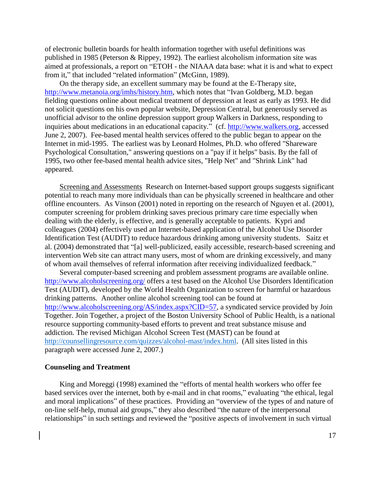of electronic bulletin boards for health information together with useful definitions was published in 1985 (Peterson & Rippey, 1992). The earliest alcoholism information site was aimed at professionals, a report on "ETOH - the NIAAA data base: what it is and what to expect from it," that included "related information" (McGinn, 1989).

On the therapy side, an excellent summary may be found at the E-Therapy site, http://www.metanoia.org/imhs/history.htm, which notes that "Ivan Goldberg, M.D. began fielding questions online about medical treatment of depression at least as early as 1993. He did not solicit questions on his own popular website, Depression Central, but generously served as unofficial advisor to the online depression support group Walkers in Darkness, responding to inquiries about medications in an educational capacity." (cf. http://www.walkers.org, accessed June 2, 2007). Fee-based mental health services offered to the public began to appear on the Internet in mid-1995. The earliest was by Leonard Holmes, Ph.D. who offered "Shareware Psychological Consultation," answering questions on a "pay if it helps" basis. By the fall of 1995, two other fee-based mental health advice sites, "Help Net" and "Shrink Link" had appeared.

Screening and Assessments Research on Internet-based support groups suggests significant potential to reach many more individuals than can be physically screened in healthcare and other offline encounters. As Vinson (2001) noted in reporting on the research of Nguyen et al. (2001), computer screening for problem drinking saves precious primary care time especially when dealing with the elderly, is effective, and is generally acceptable to patients. Kypri and colleagues (2004) effectively used an Internet-based application of the Alcohol Use Disorder Identification Test (AUDIT) to reduce hazardous drinking among university students. Saitz et al. (2004) demonstrated that "[a] well-publicized, easily accessible, research-based screening and intervention Web site can attract many users, most of whom are drinking excessively, and many of whom avail themselves of referral information after receiving individualized feedback."

Several computer-based screening and problem assessment programs are available online. http://www.alcoholscreening.org/ offers a test based on the Alcohol Use Disorders Identification Test (AUDIT), developed by the World Health Organization to screen for harmful or hazardous drinking patterns. Another online alcohol screening tool can be found at http://www.alcoholscreening.org/AS/index.aspx?CID=57, a syndicated service provided by Join Together. Join Together, a project of the Boston University School of Public Health, is a national resource supporting community-based efforts to prevent and treat substance misuse and addiction. The revised Michigan Alcohol Screen Test (MAST) can be found at [http://counsellingresource.com/quizzes/alcohol-mast/index.html.](http://counsellingresource.com/quizzes/alcohol%1emast/index.html) (All sites listed in this paragraph were accessed June 2, 2007.)

### **Counseling and Treatment**

King and Moreggi (1998) examined the "efforts of mental health workers who offer fee based services over the internet, both by e-mail and in chat rooms," evaluating "the ethical, legal and moral implications" of these practices. Providing an "overview of the types of and nature of on-line self-help, mutual aid groups," they also described "the nature of the interpersonal relationships" in such settings and reviewed the "positive aspects of involvement in such virtual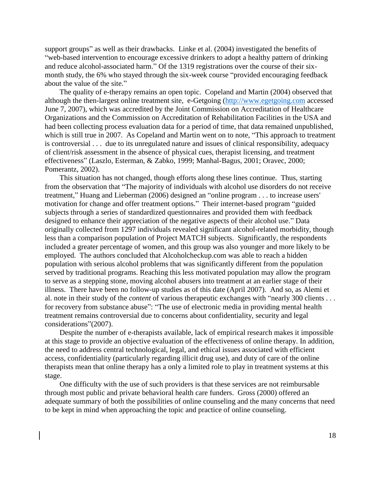support groups" as well as their drawbacks. Linke et al. (2004) investigated the benefits of "web-based intervention to encourage excessive drinkers to adopt a healthy pattern of drinking and reduce alcohol-associated harm." Of the 1319 registrations over the course of their sixmonth study, the 6% who stayed through the six-week course "provided encouraging feedback about the value of the site."

The quality of e-therapy remains an open topic. Copeland and Martin (2004) observed that although the then-largest online treatment site, e-Getgoing [\(http://www.egetgoing.com](http://www.egetgoing.com/) accessed June 7, 2007), which was accredited by the Joint Commission on Accreditation of Healthcare Organizations and the Commission on Accreditation of Rehabilitation Facilities in the USA and had been collecting process evaluation data for a period of time, that data remained unpublished, which is still true in 2007. As Copeland and Martin went on to note, "This approach to treatment is controversial . . . due to its unregulated nature and issues of clinical responsibility, adequacy of client/risk assessment in the absence of physical cues, therapist licensing, and treatment effectiveness" (Laszlo, Esterman, & Zabko, 1999; Manhal-Bagus, 2001; Oravec, 2000; Pomerantz, 2002).

This situation has not changed, though efforts along these lines continue. Thus, starting from the observation that "The majority of individuals with alcohol use disorders do not receive treatment," Huang and Lieberman (2006) designed an "online program . . . to increase users' motivation for change and offer treatment options." Their internet-based program "guided subjects through a series of standardized questionnaires and provided them with feedback designed to enhance their appreciation of the negative aspects of their alcohol use." Data originally collected from 1297 individuals revealed significant alcohol-related morbidity, though less than a comparison population of Project MATCH subjects. Significantly, the respondents included a greater percentage of women, and this group was also younger and more likely to be employed. The authors concluded that Alcoholcheckup.com was able to reach a hidden population with serious alcohol problems that was significantly different from the population served by traditional programs. Reaching this less motivated population may allow the program to serve as a stepping stone, moving alcohol abusers into treatment at an earlier stage of their illness. There have been no follow-up studies as of this date (April 2007). And so, as Alemi et al. note in their study of the *content* of various therapeutic exchanges with "nearly 300 clients . . . for recovery from substance abuse": "The use of electronic media in providing mental health treatment remains controversial due to concerns about confidentiality, security and legal considerations"(2007).

Despite the number of e-therapists available, lack of empirical research makes it impossible at this stage to provide an objective evaluation of the effectiveness of online therapy. In addition, the need to address central technological, legal, and ethical issues associated with efficient access, confidentiality (particularly regarding illicit drug use), and duty of care of the online therapists mean that online therapy has a only a limited role to play in treatment systems at this stage.

One difficulty with the use of such providers is that these services are not reimbursable through most public and private behavioral health care funders. Gross (2000) offered an adequate summary of both the possibilities of online counseling and the many concerns that need to be kept in mind when approaching the topic and practice of online counseling.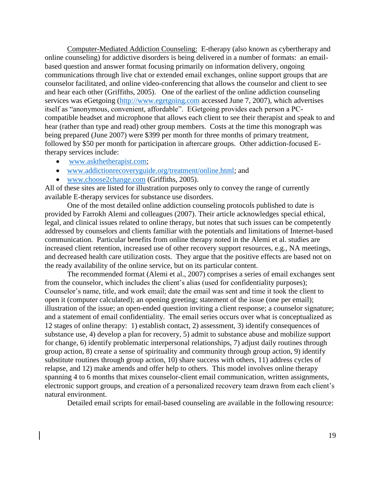Computer-Mediated Addiction Counseling: E-therapy (also known as cybertherapy and online counseling) for addictive disorders is being delivered in a number of formats: an emailbased question and answer format focusing primarily on information delivery, ongoing communications through live chat or extended email exchanges, online support groups that are counselor facilitated, and online video-conferencing that allows the counselor and client to see and hear each other (Griffiths, 2005). One of the earliest of the online addiction counseling services was eGetgoing [\(http://www.egetgoing.com](http://www.egetgoing.com/) accessed June 7, 2007), which advertises itself as "anonymous, convenient, affordable". EGetgoing provides each person a PCcompatible headset and microphone that allows each client to see their therapist and speak to and hear (rather than type and read) other group members. Costs at the time this monograph was being prepared (June 2007) were \$399 per month for three months of primary treatment, followed by \$50 per month for participation in aftercare groups. Other addiction-focused Etherapy services include:

- [www.askthetherapist.com;](http://www.askthetherapist.com/)
- [www.addictionrecoveryguide.org/treatment/online.html;](http://www.addictionrecoveryguide.org/treatment/online.html) and
- [www.choose2change.com](http://www.choose2change.com/) (Griffiths, 2005).

All of these sites are listed for illustration purposes only to convey the range of currently available E-therapy services for substance use disorders.

One of the most detailed online addiction counseling protocols published to date is provided by Farrokh Alemi and colleagues (2007). Their article acknowledges special ethical, legal, and clinical issues related to online therapy, but notes that such issues can be competently addressed by counselors and clients familiar with the potentials and limitations of Internet-based communication. Particular benefits from online therapy noted in the Alemi et al. studies are increased client retention, increased use of other recovery support resources, e.g., NA meetings, and decreased health care utilization costs. They argue that the positive effects are based not on the ready availability of the online service, but on its particular content.

The recommended format (Alemi et al., 2007) comprises a series of email exchanges sent from the counselor, which includes the client's alias (used for confidentiality purposes); Counselor's name, title, and work email; date the email was sent and time it took the client to open it (computer calculated); an opening greeting; statement of the issue (one per email); illustration of the issue; an open-ended question inviting a client response; a counselor signature; and a statement of email confidentiality. The email series occurs over what is conceptualized as 12 stages of online therapy: 1) establish contact, 2) assessment, 3) identify consequences of substance use, 4) develop a plan for recovery, 5) admit to substance abuse and mobilize support for change, 6) identify problematic interpersonal relationships, 7) adjust daily routines through group action, 8) create a sense of spirituality and community through group action, 9) identify substitute routines through group action, 10) share success with others, 11) address cycles of relapse, and 12) make amends and offer help to others. This model involves online therapy spanning 4 to 6 months that mixes counselor-client email communication, written assignments, electronic support groups, and creation of a personalized recovery team drawn from each client's natural environment.

Detailed email scripts for email-based counseling are available in the following resource: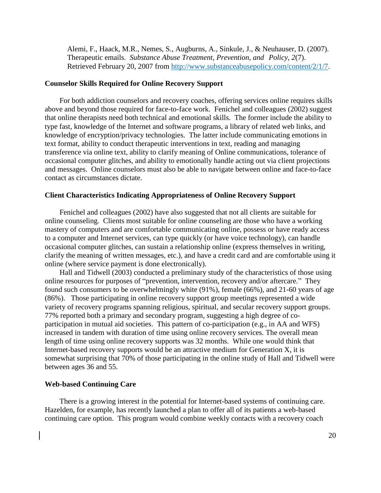Alemi, F., Haack, M.R., Nemes, S., Augburns, A., Sinkule, J., & Neuhauser, D. (2007). Therapeutic emails. *Substance Abuse Treatment, Prevention, and Policy, 2*(7). Retrieved February 20, 2007 from [http://www.substanceabusepolicy.com/content/2/1/7.](http://www.substanceabusepolicy.com/content/2/1/7)

### **Counselor Skills Required for Online Recovery Support**

For both addiction counselors and recovery coaches, offering services online requires skills above and beyond those required for face-to-face work. Fenichel and colleagues (2002) suggest that online therapists need both technical and emotional skills. The former include the ability to type fast, knowledge of the Internet and software programs, a library of related web links, and knowledge of encryption/privacy technologies. The latter include communicating emotions in text format, ability to conduct therapeutic interventions in text, reading and managing transference via online text, ability to clarify meaning of Online communications, tolerance of occasional computer glitches, and ability to emotionally handle acting out via client projections and messages. Online counselors must also be able to navigate between online and face-to-face contact as circumstances dictate.

#### **Client Characteristics Indicating Appropriateness of Online Recovery Support**

Fenichel and colleagues (2002) have also suggested that not all clients are suitable for online counseling. Clients most suitable for online counseling are those who have a working mastery of computers and are comfortable communicating online, possess or have ready access to a computer and Internet services, can type quickly (or have voice technology), can handle occasional computer glitches, can sustain a relationship online (express themselves in writing, clarify the meaning of written messages, etc.), and have a credit card and are comfortable using it online (where service payment is done electronically).

Hall and Tidwell (2003) conducted a preliminary study of the characteristics of those using online resources for purposes of "prevention, intervention, recovery and/or aftercare." They found such consumers to be overwhelmingly white (91%), female (66%), and 21-60 years of age (86%). Those participating in online recovery support group meetings represented a wide variety of recovery programs spanning religious, spiritual, and secular recovery support groups. 77% reported both a primary and secondary program, suggesting a high degree of coparticipation in mutual aid societies. This pattern of co-participation (e.g., in AA and WFS) increased in tandem with duration of time using online recovery services. The overall mean length of time using online recovery supports was 32 months. While one would think that Internet-based recovery supports would be an attractive medium for Generation X, it is somewhat surprising that 70% of those participating in the online study of Hall and Tidwell were between ages 36 and 55.

### **Web-based Continuing Care**

There is a growing interest in the potential for Internet-based systems of continuing care. Hazelden, for example, has recently launched a plan to offer all of its patients a web-based continuing care option. This program would combine weekly contacts with a recovery coach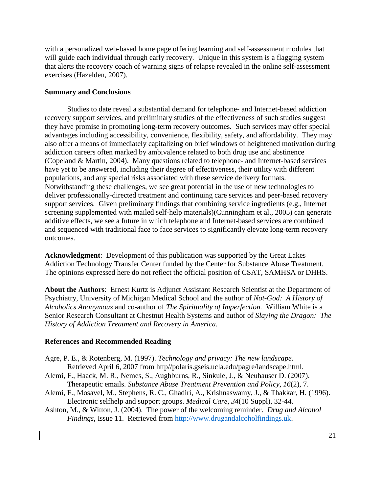with a personalized web-based home page offering learning and self-assessment modules that will guide each individual through early recovery. Unique in this system is a flagging system that alerts the recovery coach of warning signs of relapse revealed in the online self-assessment exercises (Hazelden, 2007).

# **Summary and Conclusions**

Studies to date reveal a substantial demand for telephone- and Internet-based addiction recovery support services, and preliminary studies of the effectiveness of such studies suggest they have promise in promoting long-term recovery outcomes. Such services may offer special advantages including accessibility, convenience, flexibility, safety, and affordability. They may also offer a means of immediately capitalizing on brief windows of heightened motivation during addiction careers often marked by ambivalence related to both drug use and abstinence (Copeland & Martin, 2004). Many questions related to telephone- and Internet-based services have yet to be answered, including their degree of effectiveness, their utility with different populations, and any special risks associated with these service delivery formats. Notwithstanding these challenges, we see great potential in the use of new technologies to deliver professionally-directed treatment and continuing care services and peer-based recovery support services. Given preliminary findings that combining service ingredients (e.g., Internet screening supplemented with mailed self-help materials)(Cunningham et al., 2005) can generate additive effects, we see a future in which telephone and Internet-based services are combined and sequenced with traditional face to face services to significantly elevate long-term recovery outcomes.

**Acknowledgment**: Development of this publication was supported by the Great Lakes Addiction Technology Transfer Center funded by the Center for Substance Abuse Treatment. The opinions expressed here do not reflect the official position of CSAT, SAMHSA or DHHS.

**About the Authors**: Ernest Kurtz is Adjunct Assistant Research Scientist at the Department of Psychiatry, University of Michigan Medical School and the author of *Not-God: A History of Alcoholics Anonymous* and co-author of *The Spirituality of Imperfection.* William White is a Senior Research Consultant at Chestnut Health Systems and author of *Slaying the Dragon: The History of Addiction Treatment and Recovery in America.*

# **References and Recommended Reading**

- Agre, P. E., & Rotenberg, M. (1997). *Technology and privacy: The new landscape*. Retrieved April 6, 2007 from http//polaris.gseis.ucla.edu/pagre/landscape.html.
- Alemi, F., Haack, M. R., Nemes, S., Aughburns, R., Sinkule, J., & Neuhauser D. (2007). Therapeutic emails. *Substance Abuse Treatment Prevention and Policy*, *16*(2), 7.
- Alemi, F., Mosavel, M., Stephens, R. C., Ghadiri, A., Krishnaswamy, J., & Thakkar, H. (1996). Electronic selfhelp and support groups. *Medical Care, 34*(10 Suppl), 32-44.
- Ashton, M., & Witton, J. (2004). The power of the welcoming reminder. *Drug and Alcohol Findings*, Issue 11. Retrieved from [http://www.drugandalcoholfindings.uk.](http://www.drugandalcoholfindings.uk/)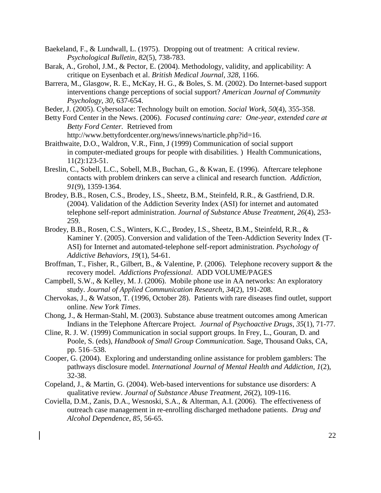- Baekeland, F., & Lundwall, L. (1975). Dropping out of treatment: A critical review. *Psychological Bulletin*, *82*(5), 738-783.
- Barak, A., Grohol, J.M., & Pector, E. (2004). Methodology, validity, and applicability: A critique on Eysenbach et al. *British Medical Journal, 328*, 1166.
- Barrera, M., Glasgow, R. E., McKay, H. G., & Boles, S. M. (2002). Do Internet-based support interventions change perceptions of social support? *American Journal of Community Psychology, 30,* 637-654.
- Beder, J. (2005). Cybersolace: Technology built on emotion. *Social Work*, *50*(4), 355-358.
- Betty Ford Center in the News. (2006). *Focused continuing care: One-year, extended care at Betty Ford Center.* Retrieved from

http://www.bettyfordcenter.org/news/innews/narticle.php?id=16.

- Braithwaite, D.O., Waldron, V.R., Finn, J (1999) Communication of social support in computer-mediated groups for people with disabilities. ) Health Communications, 11(2):123-51.
- Breslin, C., Sobell, L.C., Sobell, M.B., Buchan, G., & Kwan, E. (1996). Aftercare telephone contacts with problem drinkers can serve a clinical and research function. *Addiction*, *91*(9), 1359-1364.
- Brodey, B.B., Rosen, C.S., Brodey, I.S., Sheetz, B.M., Steinfeld, R.R., & Gastfriend, D.R. (2004). Validation of the Addiction Severity Index (ASI) for internet and automated telephone self-report administration. *Journal of Substance Abuse Treatment, 26*(4), 253- 259.
- Brodey, B.B., Rosen, C.S., Winters, K.C., Brodey, I.S., Sheetz, B.M., Steinfeld, R.R., & Kaminer Y. (2005). Conversion and validation of the Teen-Addiction Severity Index (T-ASI) for Internet and automated-telephone self-report administration. *Psychology of Addictive Behaviors, 19*(1), 54-61.
- Broffman, T., Fisher, R., Gilbert, B., & Valentine, P. (2006). Telephone recovery support & the recovery model. *Addictions Professional*. ADD VOLUME/PAGES
- Campbell, S.W., & Kelley, M. J. (2006). Mobile phone use in AA networks: An exploratory study. *Journal of Applied Communication Research, 34*(2), 191-208.
- Chervokas, J., & Watson, T. (1996, October 28). Patients with rare diseases find outlet, support online. *New York Times*.
- Chong, J., & Herman-Stahl, M. (2003). Substance abuse treatment outcomes among American Indians in the Telephone Aftercare Project. *Journal of Psychoactive Drugs*, *35*(1), 71-77.
- Cline, R. J. W. (1999) Communication in social support groups. In Frey, L., Gouran, D. and Poole, S. (eds), *Handbook of Small Group Communication*. Sage, Thousand Oaks, CA, pp. 516–538.
- Cooper, G. (2004). Exploring and understanding online assistance for problem gamblers: The pathways disclosure model. *International Journal of Mental Health and Addiction*, *1*(2), 32-38.
- Copeland, J., & Martin, G. (2004). Web-based interventions for substance use disorders: A qualitative review. *Journal of Substance Abuse Treatment, 26*(2), 109-116.
- Coviella, D.M., Zanis, D.A., Wesnoski, S.A., & Alterman, A.I. (2006). The effectiveness of outreach case management in re-enrolling discharged methadone patients. *Drug and Alcohol Dependence*, *85*, 56-65.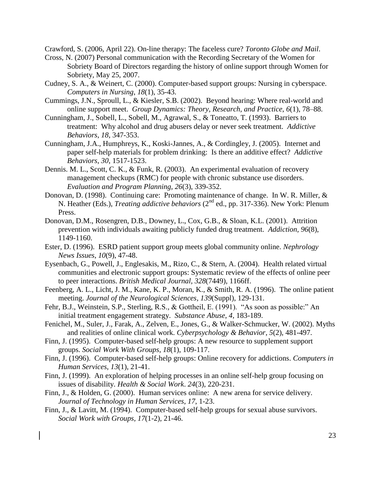Crawford, S. (2006, April 22). On-line therapy: The faceless cure? *Toronto Globe and Mail*.

- Cross, N. (2007) Personal communication with the Recording Secretary of the Women for Sobriety Board of Directors regarding the history of online support through Women for Sobriety, May 25, 2007.
- Cudney, S. A., & Weinert, C. (2000). Computer-based support groups: Nursing in cyberspace. *Computers in Nursing*, *18*(1), 35-43.
- Cummings, J.N., Sproull, L., & Kiesler, S.B. (2002). Beyond hearing: Where real-world and online support meet. *Group Dynamics: Theory, Research, and Practice*, *6*(1), 78–88.
- Cunningham, J., Sobell, L., Sobell, M., Agrawal, S., & Toneatto, T. (1993). Barriers to treatment: Why alcohol and drug abusers delay or never seek treatment. *Addictive Behaviors*, *18*, 347-353.
- Cunningham, J.A., Humphreys, K., Koski-Jannes, A., & Cordingley, J. (2005). Internet and paper self-help materials for problem drinking: Is there an additive effect? *Addictive Behaviors*, *30*, 1517-1523.
- Dennis. M. L., Scott, C. K., & Funk, R. (2003). An experimental evaluation of recovery management checkups (RMC) for people with chronic substance use disorders. *Evaluation and Program Planning, 26*(3), 339-352.
- Donovan, D. (1998). Continuing care: Promoting maintenance of change. In W. R. Miller, & N. Heather (Eds.), *Treating addictive behaviors* (2nd ed., pp. 317-336). New York: Plenum Press.
- Donovan, D.M., Rosengren, D.B., Downey, L., Cox, G.B., & Sloan, K.L. (2001). Attrition prevention with individuals awaiting publicly funded drug treatment. *Addiction, 96*(8), 1149-1160.
- Ester, D. (1996). ESRD patient support group meets global community online. *Nephrology News Issues*, *10*(9), 47-48.
- Eysenbach, G., Powell, J., Englesakis, M., Rizo, C., & Stern, A. (2004). Health related virtual communities and electronic support groups: Systematic review of the effects of online peer to peer interactions. *British Medical Journal, 328*(7449), 1166ff.
- Feenberg, A. L., Licht, J. M., Kane, K. P., Moran, K., & Smith, R. A. (1996). The online patient meeting. *Journal of the Neurological Sciences, 139*(Suppl), 129-131.
- Fehr, B.J., Weinstein, S.P., Sterling, R.S., & Gottheil, E. (1991). "As soon as possible:" An initial treatment engagement strategy. *Substance Abuse*, *4*, 183-189.
- Fenichel, M., Suler, J., Farak, A., Zelven, E., Jones, G., & Walker-Schmucker, W. (2002). Myths and realities of online clinical work. *Cyberpsychology & Behavior, 5*(2), 481-497.
- Finn, J. (1995). Computer-based self-help groups: A new resource to supplement support groups. *Social Work With Groups, 18*(1), 109-117.
- Finn, J. (1996). Computer-based self-help groups: Online recovery for addictions. *Computers in Human Services*, *13*(1), 21-41.
- Finn, J. (1999). An exploration of helping processes in an online self-help group focusing on issues of disability. *Health & Social Work*. *24*(3), 220-231.
- Finn, J., & Holden, G. (2000). Human services online: A new arena for service delivery. *Journal of Technology in Human Services*, *17*, 1-23.
- Finn, J., & Lavitt, M. (1994). Computer-based self-help groups for sexual abuse survivors. *Social Work with Groups, 17*(1-2), 21-46.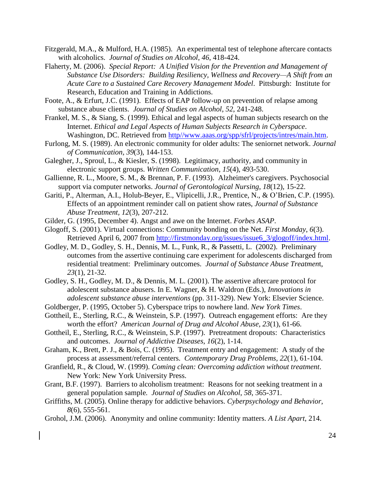- Fitzgerald, M.A., & Mulford, H.A. (1985). An experimental test of telephone aftercare contacts with alcoholics. *Journal of Studies on Alcohol*, *46*, 418-424.
- Flaherty, M. (2006). *Special Report: A Unified Vision for the Prevention and Management of Substance Use Disorders: Building Resiliency, Wellness and Recovery—A Shift from an Acute Care to a Sustained Care Recovery Management Model*. Pittsburgh: Institute for Research, Education and Training in Addictions.
- Foote, A., & Erfurt, J.C. (1991). Effects of EAP follow-up on prevention of relapse among substance abuse clients. *Journal of Studies on Alcohol*, *52*, 241-248.
- Frankel, M. S., & Siang, S. (1999). Ethical and legal aspects of human subjects research on the Internet. *Ethical and Legal Aspects of Human Subjects Research in Cyberspace*. Washington, DC. Retrieved from http//www.aaas.org/spp/sfrl/projects/intres/main.htm.
- Furlong, M. S. (1989). An electronic community for older adults: The seniornet network. *Journal of Communication, 39*(3), 144-153.
- Galegher, J., Sproul, L., & Kiesler, S. (1998). Legitimacy, authority, and community in electronic support groups. *Written Communication*, *15*(4), 493-530.
- Gallienne, R. L., Moore, S. M., & Brennan, P. F. (1993). Alzheimer's caregivers. Psychosocial support via computer networks. *Journal of Gerontological Nursing*, *18*(12), 15-22.
- Gariti, P., Alterman, A.I., Holub-Beyer, E., Vlipicelli, J.R., Prentice, N., & O'Brien, C.P. (1995). Effects of an appointment reminder call on patient show rates, *Journal of Substance Abuse Treatment, 12*(3), 207-212.
- Gilder, G. (1995, December 4). Angst and awe on the Internet. *Forbes ASAP*.
- Glogoff, S. (2001). Virtual connections: Community bonding on the Net. *First Monday*, *6*(3). Retrieved April 6, 2007 from http://firstmonday.org/issues/issue6\_3/glogoff/index.html.
- Godley, M. D., Godley, S. H., Dennis, M. L., Funk, R., & Passetti, L. (2002). Preliminary outcomes from the assertive continuing care experiment for adolescents discharged from residential treatment: Preliminary outcomes. *Journal of Substance Abuse Treatmen*t, *23*(1), 21-32.
- Godley, S. H., Godley, M. D., & Dennis, M. L. (2001). The assertive aftercare protocol for adolescent substance abusers. In E. Wagner, & H. Waldron (Eds.), *Innovations in adolescent substance abuse interventions* (pp. 311-329). New York: Elsevier Science.
- Goldberger, P. (1995, October 5). Cyberspace trips to nowhere land. *New York Times*.
- Gottheil, E., Sterling, R.C., & Weinstein, S.P. (1997). Outreach engagement efforts: Are they worth the effort? *American Journal of Drug and Alcohol Abuse, 23*(1), 61-66.
- Gottheil, E., Sterling, R.C., & Weinstein, S.P. (1997). Pretreatment dropouts: Characteristics and outcomes. *Journal of Addictive Diseases*, *16*(2), 1-14.
- Graham, K., Brett, P. J., & Bois, C. (1995). Treatment entry and engagement: A study of the process at assessment/referral centers. *Contemporary Drug Problems, 22*(1), 61-104.
- Granfield, R., & Cloud, W. (1999). *Coming clean: Overcoming addiction without treatment*. New York: New York University Press.
- Grant, B.F. (1997). Barriers to alcoholism treatment: Reasons for not seeking treatment in a general population sample*. Journal of Studies on Alcohol*, *58*, 365-371.
- Griffiths, M. (2005). Online therapy for addictive behaviors. *Cyberpsychology and Behavior, 8*(6), 555-561.
- Grohol, J.M. (2006). Anonymity and online community: Identity matters. *A List Apart*, 214.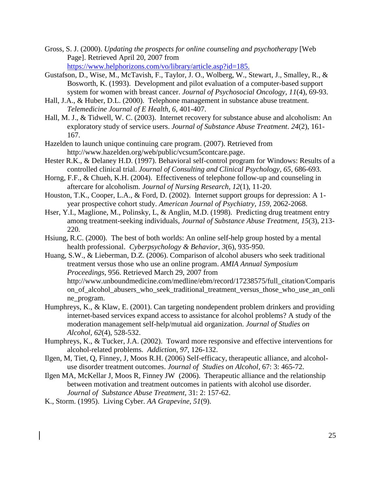- Gross, S. J. (2000). *Updating the prospects for online counseling and psychotherapy* [Web Page]. Retrieved April 20, 2007 from https://www.helphorizons.com/vo/library/article.asp?id=185.
- Gustafson, D., Wise, M., McTavish, F., Taylor, J. O., Wolberg, W., Stewart, J., Smalley, R., & Bosworth, K. (1993). Development and pilot evaluation of a computer-based support system for women with breast cancer. *Journal of Psychosocial Oncology*, *11*(4), 69-93.
- Hall, J.A., & Huber, D.L. (2000). Telephone management in substance abuse treatment. *Telemedicine Journal of E Health*, *6*, 401-407.
- Hall, M. J., & Tidwell, W. C. (2003). Internet recovery for substance abuse and alcoholism: An exploratory study of service users. *Journal of Substance Abuse Treatment*. *24*(2), 161- 167.
- Hazelden to launch unique continuing care program. (2007). Retrieved from http://www.hazelden.org/web/public/vcsum5contcare.page.
- Hester R.K., & Delaney H.D. (1997). Behavioral self-control program for Windows: Results of a controlled clinical trial. *Journal of Consulting and Clinical Psychology, 65*, 686-693.
- Horng, F.F., & Chueh, K.H. (2004). Effectiveness of telephone follow-up and counseling in aftercare for alcoholism. *Journal of Nursing Research*, *12*(1), 11-20.
- Houston, T.K., Cooper, L.A., & Ford, D. (2002). Internet support groups for depression: A 1 year prospective cohort study. *American Journal of Psychiatry, 159*, 2062-2068.
- Hser, Y.I., Maglione, M., Polinsky, L, & Anglin, M.D. (1998). Predicting drug treatment entry among treatment-seeking individuals, *Journal of Substance Abuse Treatment, 15*(3), 213- 220.
- Hsiung, R.C. (2000). The best of both worlds: An online self-help group hosted by a mental health professional. *Cyberpsychology & Behavior*, *3*(6), 935-950.
- Huang, S.W., & Lieberman, D.Z. (2006). Comparison of alcohol abusers who seek traditional treatment versus those who use an online program. *AMIA Annual Symposium Proceedings,* 956. Retrieved March 29, 2007 from http://www.unboundmedicine.com/medline/ebm/record/17238575/full\_citation/Comparis on\_of\_alcohol\_abusers\_who\_seek\_traditional\_treatment\_versus\_those\_who\_use\_an\_onli ne\_program.
- Humphreys, K., & Klaw, E. (2001). Can targeting nondependent problem drinkers and providing internet-based services expand access to assistance for alcohol problems? A study of the moderation management self-help/mutual aid organization. *Journal of Studies on Alcohol, 62*(4), 528-532.
- Humphreys, K., & Tucker, J.A. (2002). Toward more responsive and effective interventions for alcohol-related problems. *Addiction*, *97*, 126-132.
- Ilgen, M, Tiet, Q, Finney, J, Moos R.H. (2006) Self-efficacy, therapeutic alliance, and alcoholuse disorder treatment outcomes. *Journal of Studies on Alcohol,* 67: 3: 465-72.
- Ilgen MA, McKellar J, Moos R, Finney JW (2006). Therapeutic alliance and the relationship between motivation and treatment outcomes in patients with alcohol use disorder. *Journal of Substance Abuse Treatment,* 31: 2: 157-62.
- K., Storm. (1995). Living Cyber. *AA Grapevine, 51*(9).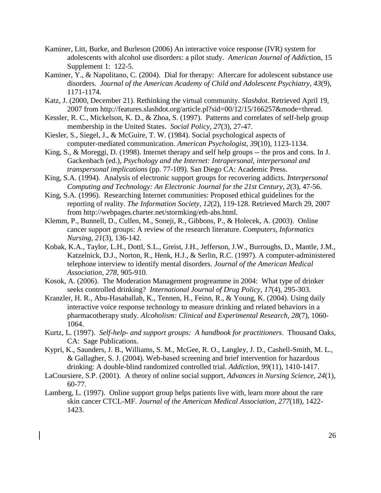- Kaminer, Litt, Burke, and Burleson (2006) An interactive voice response (IVR) system for adolescents with alcohol use disorders: a pilot study. *American Journal of Addic*tion, 15 Supplement 1: 122-5.
- Kaminer, Y., & Napolitano, C. (2004). Dial for therapy: Aftercare for adolescent substance use disorders. *Journal of the American Academy of Child and Adolescent Psychiatry*, *43*(9), 1171-1174.
- Katz, J. (2000, December 21). Rethinking the virtual community. *Slashdot*. Retrieved April 19, 2007 from http://features.slashdot.org/article.pl?sid=00/12/15/166257&mode=thread.
- Kessler, R. C., Mickelson, K. D., & Zhoa, S. (1997). Patterns and correlates of self-help group membership in the United States. *Social Policy, 27*(3), 27-47.
- Kiesler, S., Siegel, J., & McGuire, T. W. (1984). Social psychological aspects of computer-mediated communication. *American Psychologist, 39*(10), 1123-1134.
- King, S., & Moreggi, D. (1998). Internet therapy and self help groups -- the pros and cons. In J. Gackenbach (ed.), *Psychology and the Internet: Intrapersonal, interpersonal and transpersonal implications* (pp. 77-109). San Diego CA: Academic Press.
- King, S.A. (1994). Analysis of electronic support groups for recovering addicts. *Interpersonal Computing and Technology: An Electronic Journal for the 21st Century, 2*(3), 47-56.
- King, S.A. (1996). Researching Internet communities: Proposed ethical guidelines for the reporting of reality. *The Information Society, 12*(2), 119-128. Retrieved March 29, 2007 from http://webpages.charter.net/stormking/eth-abs.html.
- Klemm, P., Bunnell, D., Cullen, M., Soneji, R., Gibbons, P., & Holecek, A. (2003). Online cancer support groups: A review of the research literature. *Computers, Informatics Nursing, 21*(3), 136-142.
- Kobak, K.A., Taylor, L.H., Dottl, S.L., Greist, J.H., Jefferson, J.W., Burroughs, D., Mantle, J.M., Katzelnick, D.J., Norton, R., Henk, H.J., & Serlin, R.C. (1997). A computer-administered telephone interview to identify mental disorders. *Journal of the American Medical Association, 278*, 905-910.
- Kosok, A. (2006). The Moderation Management progreamme in 2004: What type of drinker seeks controlled drinking? *International Journal of Drug Policy*, *17*(4), 295-303.
- Kranzler, H. R., Abu-Hasaballah, K., Tennen, H., Feinn, R., & Young, K. (2004). Using daily interactive voice response technology to measure drinking and related behaviors in a pharmacotherapy study. *Alcoholism: Clinical and Experimental Research, 28*(7), 1060- 1064.
- Kurtz, L. (1997). *Self-help- and support groups: A handbook for practitioners*. Thousand Oaks, CA: Sage Publications.
- Kypri, K., Saunders, J. B., Williams, S. M., McGee, R. O., Langley, J. D., Cashell-Smith, M. L., & Gallagher, S. J. (2004). Web-based screening and brief intervention for hazardous drinking: A double-blind randomized controlled trial. *Addiction, 99*(11), 1410-1417.
- LaCoursiere, S.P. (2001). A theory of online social support, *Advances in Nursing Science, 24*(1), 60-77.
- Lamberg, L. (1997). Online support group helps patients live with, learn more about the rare skin cancer CTCL-MF. *Journal of the American Medical Association, 277*(18), 1422- 1423.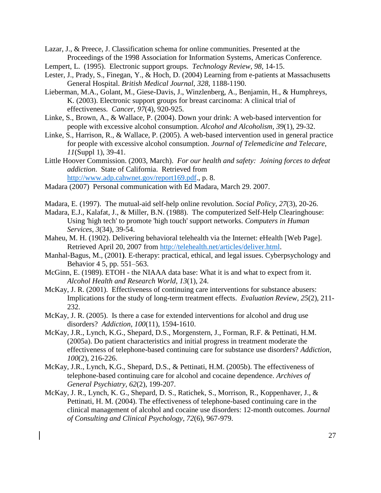Lazar, J., & Preece, J. Classification schema for online communities. Presented at the Proceedings of the 1998 Association for Information Systems, Americas Conference.

- Lempert, L. (1995). Electronic support groups. *Technology Review, 98,* 14-15.
- Lester, J., Prady, S., Finegan, Y., & Hoch, D. (2004) Learning from e-patients at Massachusetts General Hospital. *British Medical Journal*, *328*, 1188-1190.
- Lieberman, M.A., Golant, M., Giese-Davis, J., Winzlenberg, A., Benjamin, H., & Humphreys, K. (2003). Electronic support groups for breast carcinoma: A clinical trial of effectiveness. *Cancer*, *97*(4), 920-925.
- Linke, S., Brown, A., & Wallace, P. (2004). Down your drink: A web-based intervention for people with excessive alcohol consumption. *Alcohol and Alcoholism, 39*(1), 29-32.
- Linke, S., Harrison, R., & Wallace, P. (2005). A web-based intervention used in general practice for people with excessive alcohol consumption. *Journal of Telemedicine and Telecare, 11*(Suppl 1), 39-41.
- Little Hoover Commission. (2003, March). *For our health and safety: Joining forces to defeat addiction*. State of California. Retrieved from [http://www.adp.cahwnet.gov/report169.pdf.](http://www.adp.cahwnet.gov/report169.pdf), p. 8.
- Madara (2007) Personal communication with Ed Madara, March 29. 2007.
- Madara, E. (1997). The mutual-aid self-help online revolution. *Social Policy, 27*(3), 20-26.
- Madara, E.J., Kalafat, J., & Miller, B.N. (1988). The computerized Self-Help Clearinghouse: Using 'high tech' to promote 'high touch' support networks. *Computers in Human Services*, *3*(34), 39-54.
- Maheu, M. H. (1902). Delivering behavioral telehealth via the Internet: eHealth [Web Page]. Retrieved April 20, 2007 from [http://telehealth.net/articles/deliver.html.](http://telehealth.net/articles/deliver.html)
- Manhal-Bagus, M., (2001**)**. E-therapy: practical, ethical, and legal issues. Cyberpsychology and Behavior 4 5, pp. 551–563.
- McGinn, E. (1989). ETOH the NIAAA data base: What it is and what to expect from it. *Alcohol Health and Research World, 13*(1), 24.
- McKay, J. R. (2001). Effectiveness of continuing care interventions for substance abusers: Implications for the study of long-term treatment effects. *Evaluation Review, 25*(2)*,* 211- 232.
- McKay, J. R. (2005). Is there a case for extended interventions for alcohol and drug use disorders? *Addiction*, *100*(11), 1594-1610.
- McKay, J.R., Lynch, K.G., Shepard, D.S., Morgenstern, J., Forman, R.F. & Pettinati, H.M. (2005a). Do patient characteristics and initial progress in treatment moderate the effectiveness of telephone-based continuing care for substance use disorders? *Addiction, 100*(2), 216-226.
- McKay, J.R., Lynch, K.G., Shepard, D.S., & Pettinati, H.M. (2005b). The effectiveness of telephone-based continuing care for alcohol and cocaine dependence. *Archives of General Psychiatry, 62*(2), 199-207.
- McKay, J. R., Lynch, K. G., Shepard, D. S., Ratichek, S., Morrison, R., Koppenhaver, J., & Pettinati, H. M. (2004). The effectiveness of telephone-based continuing care in the clinical management of alcohol and cocaine use disorders: 12-month outcomes. *Journal of Consulting and Clinical Psychology, 72*(6), 967-979.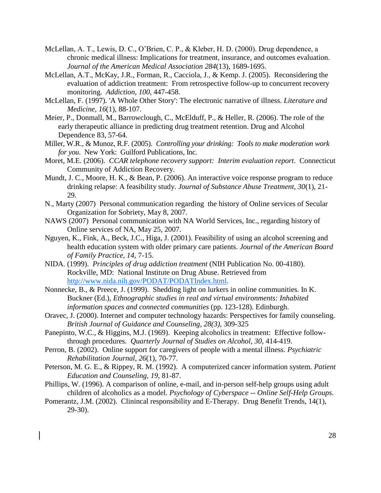- McLellan, A. T., Lewis, D. C., O'Brien, C. P., & Kleber, H. D. (2000). Drug dependence, a chronic medical illness: Implications for treatment, insurance, and outcomes evaluation. *Journal of the American Medical Association 284*(13), 1689-1695.
- McLellan, A.T., McKay, J.R., Forman, R., Cacciola, J., & Kemp. J. (2005). Reconsidering the evaluation of addiction treatment: From retrospective follow-up to concurrent recovery monitoring. *Addiction, 100*, 447-458.
- McLellan, F. (1997). 'A Whole Other Story': The electronic narrative of illness. *Literature and Medicine, 16*(1), 88-107.
- Meier, P., Donmall, M., Barrowclough, C., McElduff, P., & Heller, R. (2006). The role of the early therapeutic alliance in predicting drug treatment retention. Drug and Alcohol Dependence 83, 57-64.
- Miller, W.R., & Munoz, R.F. (2005). *Controlling your drinking: Tools to make moderation work for you*. New York: Guilford Publications, Inc.
- Moret, M.E. (2006). *CCAR telephone recovery support: Interim evaluation report*. Connecticut Community of Addiction Recovery.
- Mundt, J. C., Moore, H. K., & Bean, P. (2006). An interactive voice response program to reduce drinking relapse: A feasibility study. *Journal of Substance Abuse Treatment, 30*(1), 21- 29.
- N., Marty (2007) Personal communication regarding the history of Online services of Secular Organization for Sobriety, May 8, 2007.
- NAWS (2007) Personal communication with NA World Services, Inc., regarding history of Online services of NA, May 25, 2007.
- Nguyen, K., Fink, A., Beck, J.C., Higa, J. (2001). Feasibility of using an alcohol screening and health education system with older primary care patients. *Journal of the American Board of Family Practice, 14,* 7-15.
- NIDA. (1999). *Principles of drug addiction treatment* (NIH Publication No. 00-4180). Rockville, MD: National Institute on Drug Abuse. Retrieved from [http://www.nida.nih.gov/PODAT/PODATIndex.html.](http://www.nida.nih.gov/PODAT/PODATIndex.html)
- Nonnecke, B., & Preece, J. (1999). Shedding light on lurkers in online communities. In K. Buckner (Ed.), *Ethnographic studies in real and virtual environments: Inhabited information spaces and connected communities* (pp. 123-128). Edinburgh.
- Oravec, J. (2000). Internet and computer technology hazards: Perspectives for family counseling. *British Journal of Guidance and Counseling, 28(3)*, 309-325
- Panepinto, W.C., & Higgins, M.J. (1969). Keeping alcoholics in treatment: Effective followthrough procedures. *Quarterly Journal of Studies on Alcohol*, *30*, 414-419.
- Perron, B. (2002). Online support for caregivers of people with a mental illness. *Psychiatric Rehabilitation Journal*, *26*(1), 70-77.
- Peterson, M. G. E., & Rippey, R. M. (1992). A computerized cancer information system. *Patient Education and Counseling*, *19*, 81-87.
- Phillips, W. (1996). A comparison of online, e-mail, and in-person self-help groups using adult children of alcoholics as a model. *Psychology of Cyberspace -- Online Self-Help Groups*.
- Pomerantz, J.M. (2002). Clinincal responsibility and E-Therapy. Drug Benefit Trends, 14(1), 29-30).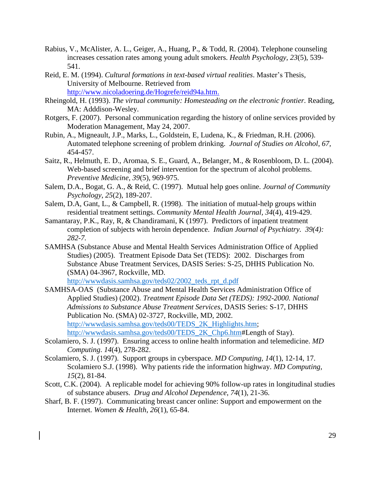- Rabius, V., McAlister, A. L., Geiger, A., Huang, P., & Todd, R. (2004). Telephone counseling increases cessation rates among young adult smokers. *Health Psychology, 23*(5), 539- 541.
- Reid, E. M. (1994). *Cultural formations in text-based virtual realities*. Master's Thesis, University of Melbourne. Retrieved from http://www.nicoladoering.de/Hogrefe/reid94a.htm.
- Rheingold, H. (1993). *The virtual community: Homesteading on the electronic frontier.* Reading, MA: Adddison-Wesley.
- Rotgers, F. (2007). Personal communication regarding the history of online services provided by Moderation Management, May 24, 2007.
- Rubin, A., Migneault, J.P., Marks, L., Goldstein, E, Ludena, K., & Friedman, R.H. (2006). Automated telephone screening of problem drinking. *Journal of Studies on Alcohol*, *67,* 454-457.
- Saitz, R., Helmuth, E. D., Aromaa, S. E., Guard, A., Belanger, M., & Rosenbloom, D. L. (2004). Web-based screening and brief intervention for the spectrum of alcohol problems. *Preventive Medicine, 39*(5), 969-975.
- Salem, D.A., Bogat, G. A., & Reid, C. (1997). Mutual help goes online. *Journal of Community Psychology*, *25*(2), 189-207.
- Salem, D.A, Gant, L., & Campbell, R. (1998). The initiation of mutual-help groups within residential treatment settings. *Community Mental Health Journal, 34*(4), 419-429.
- Samantaray, P.K., Ray, R, & Chandiramani, K (1997). Predictors of inpatient treatment completion of subjects with heroin dependence. *Indian Journal of Psychiatry. 39(4): 282-7.*
- SAMHSA (Substance Abuse and Mental Health Services Administration Office of Applied Studies) (2005). Treatment Episode Data Set (TEDS): 2002. Discharges from Substance Abuse Treatment Services, DASIS Series: S-25, DHHS Publication No. (SMA) 04-3967, Rockville, MD.

[http://wwwdasis.samhsa.gov/teds02/2002\\_teds\\_rpt\\_d.pdf](http://wwwdasis.samhsa.gov/teds02/2002_teds_rpt_d.pdf)

- SAMHSA-OAS (Substance Abuse and Mental Health Services Administration Office of Applied Studies) (2002). *Treatment Episode Data Set (TEDS): 1992-2000. National Admissions to Substance Abuse Treatment Services*, DASIS Series: S-17, DHHS Publication No. (SMA) 02-3727, Rockville, MD, 2002. [http://wwwdasis.samhsa.gov/teds00/TEDS\\_2K\\_Highlights.htm;](http://wwwdasis.samhsa.gov/teds00/TEDS_2K_Highlights.htm) [http://wwwdasis.samhsa.gov/teds00/TEDS\\_2K\\_Chp6.htm#](http://wwwdasis.samhsa.gov/teds00/TEDS_2K_Chp6.htm)Length of Stay).
- Scolamiero, S. J. (1997). Ensuring access to online health information and telemedicine. *MD Computing*. *14*(4), 278-282.
- Scolamiero, S. J. (1997). Support groups in cyberspace. *MD Computing, 14*(1), 12-14, 17. Scolamiero S.J. (1998). Why patients ride the information highway. *MD Computing, 15*(2), 81-84.
- Scott, C.K. (2004). A replicable model for achieving 90% follow-up rates in longitudinal studies of substance abusers. *Drug and Alcohol Dependence*, *74*(1), 21-36.
- Sharf, B. F. (1997). Communicating breast cancer online: Support and empowerment on the Internet. *Women & Health*, *26*(1), 65-84.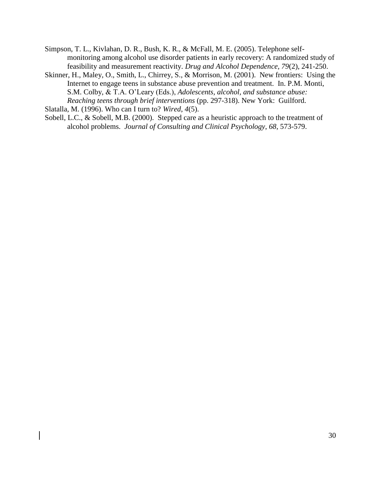- Simpson, T. L., Kivlahan, D. R., Bush, K. R., & McFall, M. E. (2005). Telephone selfmonitoring among alcohol use disorder patients in early recovery: A randomized study of feasibility and measurement reactivity. *Drug and Alcohol Dependence, 79*(2), 241-250.
- Skinner, H., Maley, O., Smith, L., Chirrey, S., & Morrison, M. (2001). New frontiers: Using the Internet to engage teens in substance abuse prevention and treatment. In. P.M. Monti, S.M. Colby, & T.A. O'Leary (Eds.), *Adolescents, alcohol, and substance abuse: Reaching teens through brief interventions* (pp. 297-318). New York: Guilford.

Slatalla, M. (1996). Who can I turn to? *Wired*, *4*(5).

Sobell, L.C., & Sobell, M.B. (2000). Stepped care as a heuristic approach to the treatment of alcohol problems. *Journal of Consulting and Clinical Psychology*, *68*, 573-579.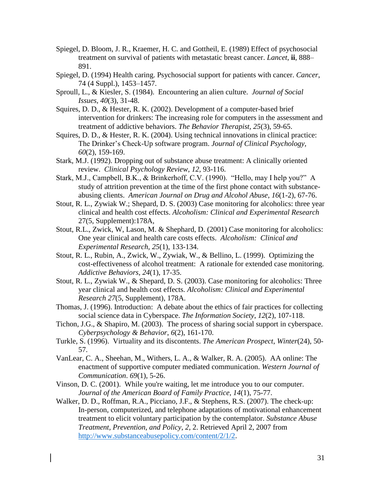- Spiegel, D. Bloom, J. R., Kraemer, H. C. and Gottheil, E. (1989) Effect of psychosocial treatment on survival of patients with metastatic breast cancer. *Lancet*, **ii**, 888– 891.
- Spiegel, D. (1994) Health caring. Psychosocial support for patients with cancer. *Cancer*, 74 (4 Suppl.), 1453–1457.
- Sproull, L., & Kiesler, S. (1984). Encountering an alien culture. *Journal of Social Issues, 40*(3), 31-48.
- Squires, D. D., & Hester, R. K. (2002). Development of a computer-based brief intervention for drinkers: The increasing role for computers in the assessment and treatment of addictive behaviors. *The Behavior Therapist, 25*(3), 59-65.
- Squires, D. D., & Hester, R. K. (2004). Using technical innovations in clinical practice: The Drinker's Check-Up software program. *Journal of Clinical Psychology, 60*(2), 159-169.
- Stark, M.J. (1992). Dropping out of substance abuse treatment: A clinically oriented review. *Clinical Psychology Review, 12,* 93-116.
- Stark, M.J., Campbell, B.K., & Brinkerhoff, C.V. (1990). "Hello, may I help you?" A study of attrition prevention at the time of the first phone contact with substanceabusing clients. *American Journal on Drug and Alcohol Abuse*, *16*(1-2), 67-76.
- Stout, R. L., Zywiak W.; Shepard, D. S. (2003) Case monitoring for alcoholics: three year clinical and health cost effects. *Alcoholism: Clinical and Experimental Research* 27(5, Supplement):178A,
- Stout, R.L., Zwick, W, Lason, M. & Shephard, D. (2001) Case monitoring for alcoholics: One year clinical and health care costs effects. *Alcoholism: Clinical and Experimental Research*, *25*(1), 133-134.
- Stout, R. L., Rubin, A., Zwick, W., Zywiak, W., & Bellino, L. (1999). Optimizing the cost-effectiveness of alcohol treatment: A rationale for extended case monitoring. *Addictive Behaviors*, *24*(1), 17-35.
- Stout, R. L., Zywiak W., & Shepard, D. S. (2003). Case monitoring for alcoholics: Three year clinical and health cost effects. *Alcoholism: Clinical and Experimental Research 27*(5, Supplement), 178A.
- Thomas, J. (1996). Introduction: A debate about the ethics of fair practices for collecting social science data in Cyberspace. *The Information Society*, *12*(2), 107-118.
- Tichon, J.G., & Shapiro, M. (2003). The process of sharing social support in cyberspace. *Cyberpsychology & Behavior*, *6*(2), 161-170.
- Turkle, S. (1996). Virtuality and its discontents. *The American Prospect*, *Winter*(24), 50- 57.
- VanLear, C. A., Sheehan, M., Withers, L. A., & Walker, R. A. (2005). AA online: The enactment of supportive computer mediated communication. *Western Journal of Communication*. *69*(1), 5-26.
- Vinson, D. C. (2001). While you're waiting, let me introduce you to our computer. *Journal of the American Board of Family Practice, 14*(1), 75-77.
- Walker, D. D., Roffman, R.A., Picciano, J.F., & Stephens, R.S. (2007). The check-up: In-person, computerized, and telephone adaptations of motivational enhancement treatment to elicit voluntary participation by the contemplator. *Substance Abuse Treatment, Prevention, and Policy*, *2,* 2. Retrieved April 2, 2007 from [http://www.substanceabusepolicy.com/content/2/1/2.](http://www.substanceabusepolicy.com/content/2/1/2)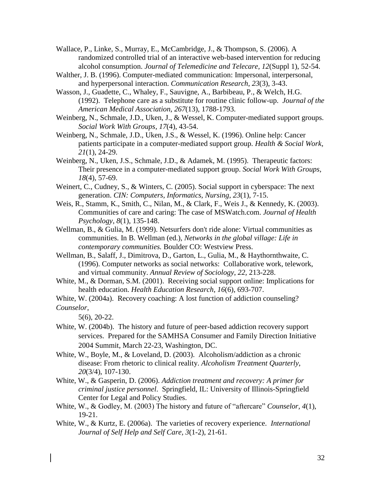Wallace, P., Linke, S., Murray, E., McCambridge, J., & Thompson, S. (2006). A randomized controlled trial of an interactive web-based intervention for reducing alcohol consumption. *Journal of Telemedicine and Telecare, 12*(Suppl 1), 52-54.

Walther, J. B. (1996). Computer-mediated communication: Impersonal, interpersonal, and hyperpersonal interaction. *Communication Research*, *23*(3), 3-43.

Wasson, J., Guadette, C., Whaley, F., Sauvigne, A., Barbibeau, P., & Welch, H.G. (1992). Telephone care as a substitute for routine clinic follow-up. *Journal of the American Medical Association*, *267*(13), 1788-1793.

Weinberg, N., Schmale, J.D., Uken, J., & Wessel, K. Computer-mediated support groups. *Social Work With Groups, 17*(4), 43-54.

Weinberg, N., Schmale, J.D., Uken, J.S., & Wessel, K. (1996). Online help: Cancer patients participate in a computer-mediated support group. *Health & Social Work, 21*(1), 24-29.

Weinberg, N., Uken, J.S., Schmale, J.D., & Adamek, M. (1995). Therapeutic factors: Their presence in a computer-mediated support group. *Social Work With Groups, 18*(4), 57-69.

Weinert, C., Cudney, S., & Winters, C. (2005). Social support in cyberspace: The next generation. *CIN: Computers, Informatics, Nursing*, *23*(1), 7-15.

Weis, R., Stamm, K., Smith, C., Nilan, M., & Clark, F., Weis J., & Kennedy, K. (2003). Communities of care and caring: The case of MSWatch.com. *Journal of Health Psychology*, *8*(1), 135-148.

Wellman, B., & Gulia, M. (1999). Netsurfers don't ride alone: Virtual communities as communities. In B. Wellman (ed.), *Networks in the global village: Life in contemporary communities.* Boulder CO: Westview Press.

Wellman, B., Salaff, J., Dimitrova, D., Garton, L., Gulia, M., & Haythornthwaite, C. (1996). Computer networks as social networks: Collaborative work, telework, and virtual community. *Annual Review of Sociology*, *22,* 213-228.

White, M., & Dorman, S.M. (2001). Receiving social support online: Implications for health education. *Health Education Research*, *16*(6), 693-707.

White, W. (2004a). Recovery coaching: A lost function of addiction counseling?

*Counselor*,

5(6), 20-22.

White, W. (2004b). The history and future of peer-based addiction recovery support services. Prepared for the SAMHSA Consumer and Family Direction Initiative 2004 Summit, March 22-23, Washington, DC.

White, W., Boyle, M., & Loveland, D. (2003). Alcoholism/addiction as a chronic disease: From rhetoric to clinical reality. *Alcoholism Treatment Quarterly*, *20*(3/4), 107-130.

White, W., & Gasperin, D. (2006). *Addiction treatment and recovery: A primer for criminal justice personnel*. Springfield, IL: University of Illinois-Springfield Center for Legal and Policy Studies.

White, W., & Godley, M. (2003) The history and future of "aftercare" *Counselor, 4*(1), 19-21.

White, W., & Kurtz, E. (2006a). The varieties of recovery experience. *International Journal of Self Help and Self Care, 3*(1-2), 21-61.